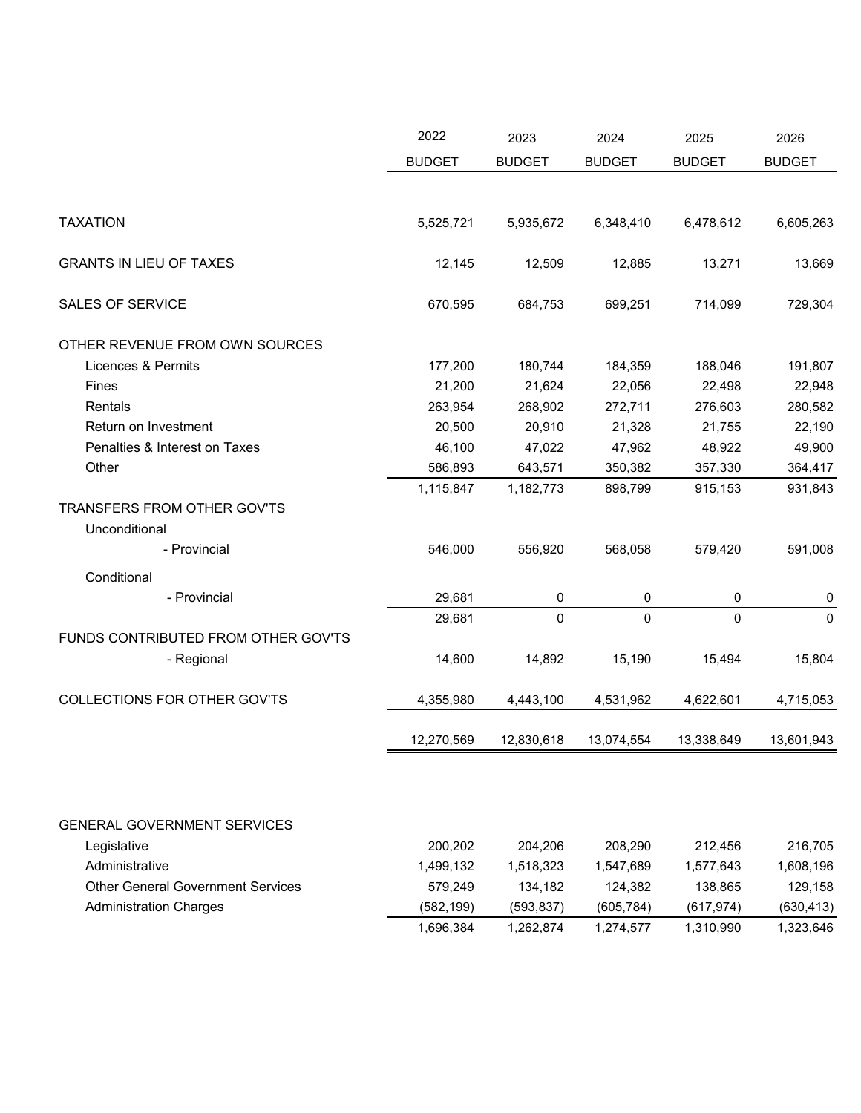|                                              | 2022          | 2023          | 2024          | 2025          | 2026          |
|----------------------------------------------|---------------|---------------|---------------|---------------|---------------|
|                                              | <b>BUDGET</b> | <b>BUDGET</b> | <b>BUDGET</b> | <b>BUDGET</b> | <b>BUDGET</b> |
|                                              |               |               |               |               |               |
| <b>TAXATION</b>                              | 5,525,721     | 5,935,672     | 6,348,410     | 6,478,612     | 6,605,263     |
| <b>GRANTS IN LIEU OF TAXES</b>               | 12,145        | 12,509        | 12,885        | 13,271        | 13,669        |
| <b>SALES OF SERVICE</b>                      | 670,595       | 684,753       | 699,251       | 714,099       | 729,304       |
| OTHER REVENUE FROM OWN SOURCES               |               |               |               |               |               |
| Licences & Permits                           | 177,200       | 180,744       | 184,359       | 188,046       | 191,807       |
| Fines                                        | 21,200        | 21,624        | 22,056        | 22,498        | 22,948        |
| Rentals                                      | 263,954       | 268,902       | 272,711       | 276,603       | 280,582       |
| Return on Investment                         | 20,500        | 20,910        | 21,328        | 21,755        | 22,190        |
| Penalties & Interest on Taxes                | 46,100        | 47,022        | 47,962        | 48,922        | 49,900        |
| Other                                        | 586,893       | 643,571       | 350,382       | 357,330       | 364,417       |
|                                              | 1,115,847     | 1,182,773     | 898,799       | 915,153       | 931,843       |
| TRANSFERS FROM OTHER GOV'TS<br>Unconditional |               |               |               |               |               |
| - Provincial                                 | 546,000       | 556,920       | 568,058       | 579,420       | 591,008       |
| Conditional                                  |               |               |               |               |               |
| - Provincial                                 | 29,681        | 0             | 0             | 0             | 0             |
|                                              | 29,681        | $\mathbf 0$   | $\mathbf 0$   | 0             | $\mathbf 0$   |
| FUNDS CONTRIBUTED FROM OTHER GOV'TS          |               |               |               |               |               |
| - Regional                                   | 14,600        | 14,892        | 15,190        | 15,494        | 15,804        |
| COLLECTIONS FOR OTHER GOV'TS                 | 4,355,980     | 4,443,100     | 4,531,962     | 4,622,601     | 4,715,053     |
|                                              | 12,270,569    | 12,830,618    | 13,074,554    | 13,338,649    | 13,601,943    |
|                                              |               |               |               |               |               |
| <b>GENERAL GOVERNMENT SERVICES</b>           |               |               |               |               |               |
| Legislative                                  | 200,202       | 204,206       | 208,290       | 212,456       | 216,705       |
| Administrative                               | 1,499,132     | 1,518,323     | 1,547,689     | 1,577,643     | 1,608,196     |
| <b>Other General Government Services</b>     | 579,249       | 134,182       | 124,382       | 138,865       | 129,158       |
| <b>Administration Charges</b>                | (582, 199)    | (593, 837)    | (605, 784)    | (617, 974)    | (630, 413)    |
|                                              | 1,696,384     | 1,262,874     | 1,274,577     | 1,310,990     | 1,323,646     |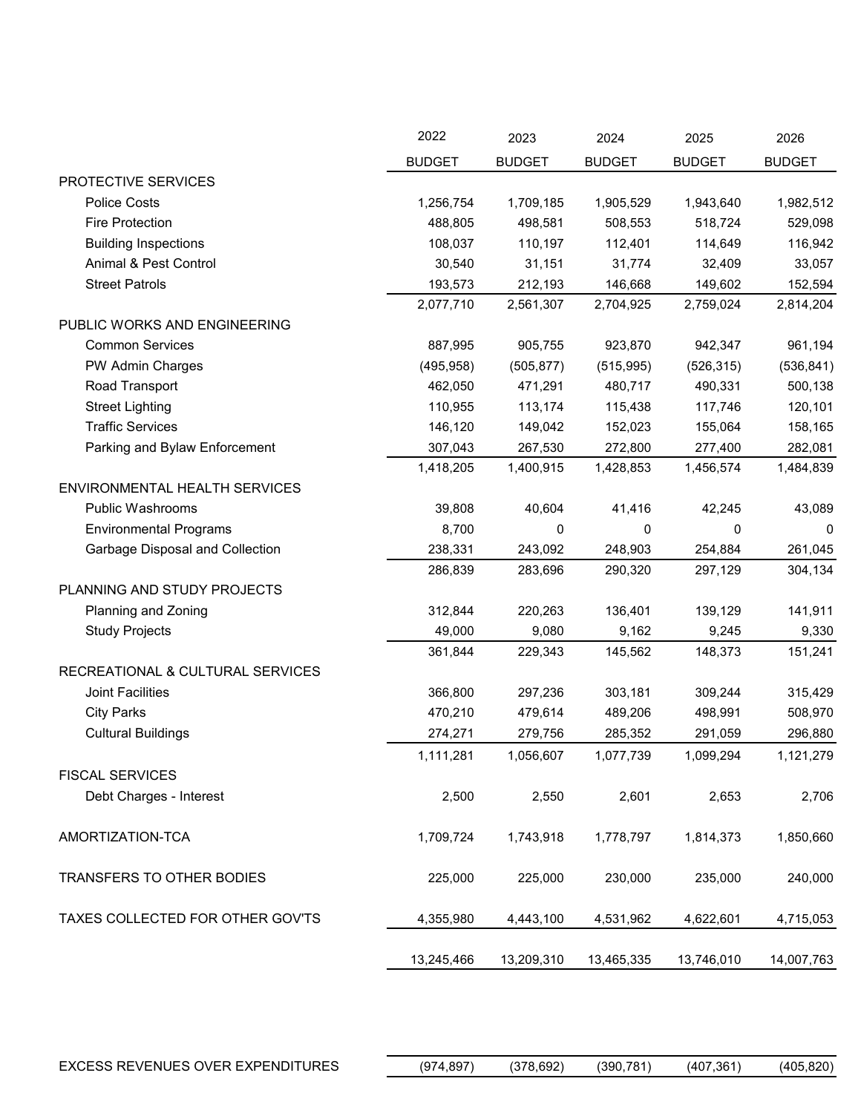|                                  | 2022          | 2023          | 2024          | 2025          | 2026          |
|----------------------------------|---------------|---------------|---------------|---------------|---------------|
|                                  | <b>BUDGET</b> | <b>BUDGET</b> | <b>BUDGET</b> | <b>BUDGET</b> | <b>BUDGET</b> |
| PROTECTIVE SERVICES              |               |               |               |               |               |
| <b>Police Costs</b>              | 1,256,754     | 1,709,185     | 1,905,529     | 1,943,640     | 1,982,512     |
| <b>Fire Protection</b>           | 488,805       | 498,581       | 508,553       | 518,724       | 529,098       |
| <b>Building Inspections</b>      | 108,037       | 110,197       | 112,401       | 114,649       | 116,942       |
| Animal & Pest Control            | 30,540        | 31,151        | 31,774        | 32,409        | 33,057        |
| <b>Street Patrols</b>            | 193,573       | 212,193       | 146,668       | 149,602       | 152,594       |
|                                  | 2,077,710     | 2,561,307     | 2,704,925     | 2,759,024     | 2,814,204     |
| PUBLIC WORKS AND ENGINEERING     |               |               |               |               |               |
| <b>Common Services</b>           | 887,995       | 905,755       | 923,870       | 942,347       | 961,194       |
| PW Admin Charges                 | (495, 958)    | (505, 877)    | (515, 995)    | (526, 315)    | (536, 841)    |
| Road Transport                   | 462,050       | 471,291       | 480,717       | 490,331       | 500,138       |
| <b>Street Lighting</b>           | 110,955       | 113,174       | 115,438       | 117,746       | 120,101       |
| <b>Traffic Services</b>          | 146,120       | 149,042       | 152,023       | 155,064       | 158,165       |
| Parking and Bylaw Enforcement    | 307,043       | 267,530       | 272,800       | 277,400       | 282,081       |
|                                  | 1,418,205     | 1,400,915     | 1,428,853     | 1,456,574     | 1,484,839     |
| ENVIRONMENTAL HEALTH SERVICES    |               |               |               |               |               |
| Public Washrooms                 | 39,808        | 40,604        | 41,416        | 42,245        | 43,089        |
| <b>Environmental Programs</b>    | 8,700         | 0             | 0             | 0             | 0             |
| Garbage Disposal and Collection  | 238,331       | 243,092       | 248,903       | 254,884       | 261,045       |
|                                  | 286,839       | 283,696       | 290,320       | 297,129       | 304,134       |
| PLANNING AND STUDY PROJECTS      |               |               |               |               |               |
| Planning and Zoning              | 312,844       | 220,263       | 136,401       | 139,129       | 141,911       |
| <b>Study Projects</b>            | 49,000        | 9,080         | 9,162         | 9,245         | 9,330         |
|                                  | 361,844       | 229,343       | 145,562       | 148,373       | 151,241       |
| RECREATIONAL & CULTURAL SERVICES |               |               |               |               |               |
| Joint Facilities                 | 366,800       | 297,236       | 303,181       | 309,244       | 315,429       |
| <b>City Parks</b>                | 470,210       | 479,614       | 489,206       | 498,991       | 508,970       |
| <b>Cultural Buildings</b>        | 274,271       | 279,756       | 285,352       | 291,059       | 296,880       |
|                                  | 1,111,281     | 1,056,607     | 1,077,739     | 1,099,294     | 1,121,279     |
| <b>FISCAL SERVICES</b>           |               |               |               |               |               |
| Debt Charges - Interest          | 2,500         | 2,550         | 2,601         | 2,653         | 2,706         |
| AMORTIZATION-TCA                 | 1,709,724     | 1,743,918     | 1,778,797     | 1,814,373     | 1,850,660     |
| TRANSFERS TO OTHER BODIES        | 225,000       | 225,000       | 230,000       | 235,000       | 240,000       |
| TAXES COLLECTED FOR OTHER GOV'TS | 4,355,980     | 4,443,100     | 4,531,962     | 4,622,601     | 4,715,053     |
|                                  | 13,245,466    | 13,209,310    | 13,465,335    | 13,746,010    | 14,007,763    |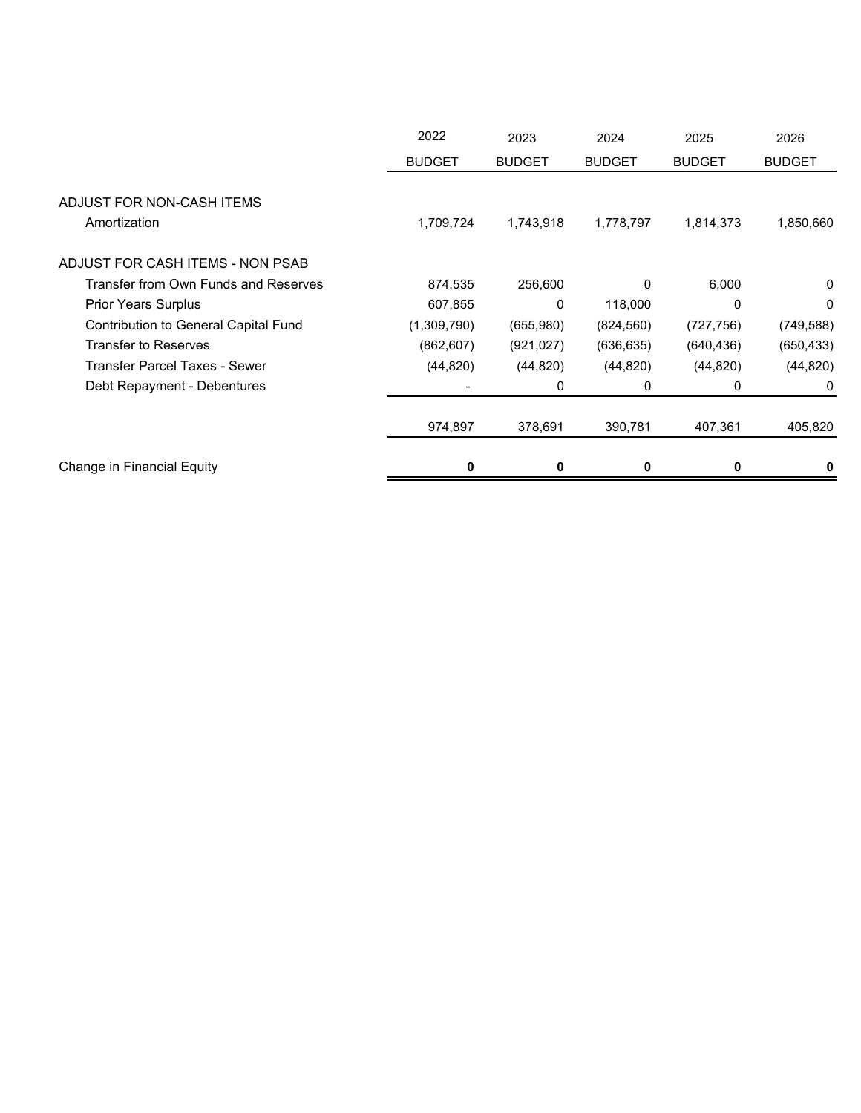|                                           | 2022          | 2023          | 2024          | 2025          | 2026          |
|-------------------------------------------|---------------|---------------|---------------|---------------|---------------|
|                                           | <b>BUDGET</b> | <b>BUDGET</b> | <b>BUDGET</b> | <b>BUDGET</b> | <b>BUDGET</b> |
| ADJUST FOR NON-CASH ITEMS<br>Amortization | 1,709,724     | 1,743,918     | 1,778,797     | 1,814,373     | 1,850,660     |
| ADJUST FOR CASH ITEMS - NON PSAB          |               |               |               |               |               |
| Transfer from Own Funds and Reserves      | 874,535       | 256,600       | $\Omega$      | 6,000         | 0             |
| <b>Prior Years Surplus</b>                | 607,855       | 0             | 118,000       | 0             | $\Omega$      |
| Contribution to General Capital Fund      | (1,309,790)   | (655,980)     | (824, 560)    | (727, 756)    | (749, 588)    |
| <b>Transfer to Reserves</b>               | (862, 607)    | (921,027)     | (636, 635)    | (640, 436)    | (650, 433)    |
| <b>Transfer Parcel Taxes - Sewer</b>      | (44, 820)     | (44, 820)     | (44, 820)     | (44, 820)     | (44, 820)     |
| Debt Repayment - Debentures               |               | 0             | 0             | 0             | 0             |
|                                           | 974,897       | 378,691       | 390,781       | 407,361       | 405,820       |
| Change in Financial Equity                | 0             | 0             | 0             | 0             | 0             |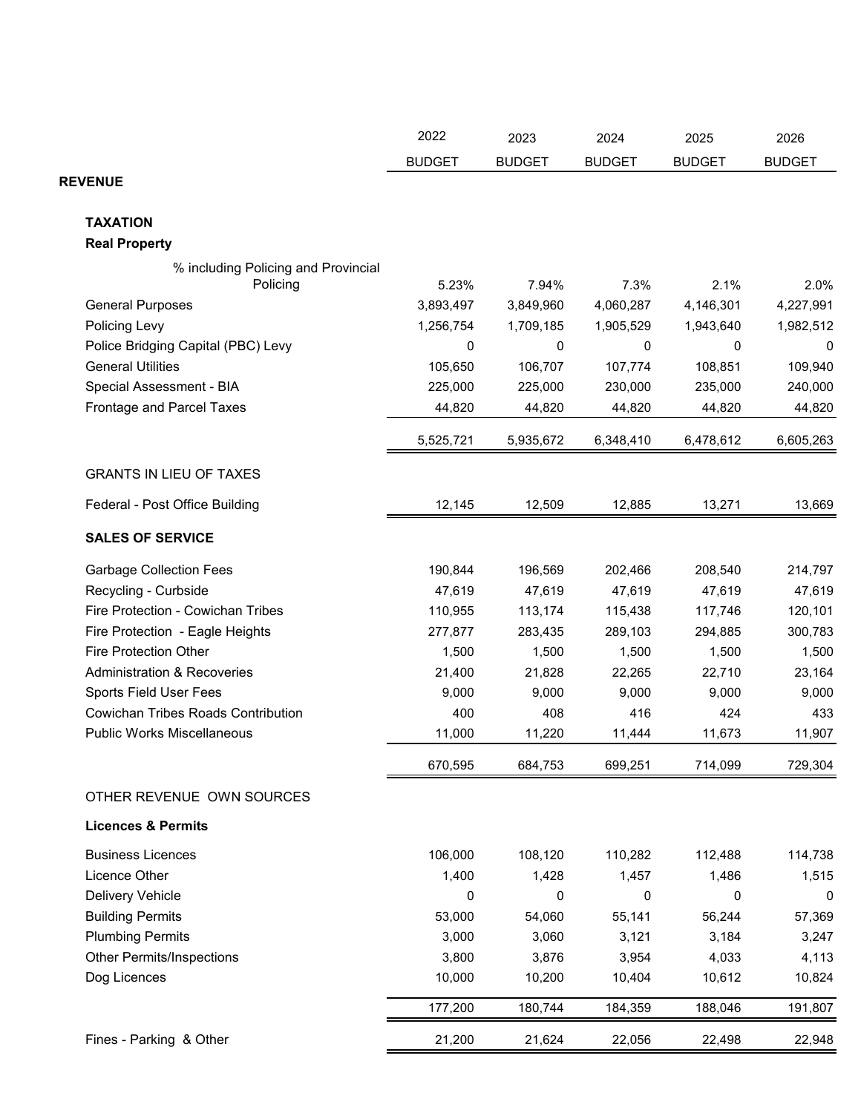|                                           | 2022          | 2023          | 2024          | 2025          | 2026          |
|-------------------------------------------|---------------|---------------|---------------|---------------|---------------|
|                                           | <b>BUDGET</b> | <b>BUDGET</b> | <b>BUDGET</b> | <b>BUDGET</b> | <b>BUDGET</b> |
| <b>REVENUE</b>                            |               |               |               |               |               |
|                                           |               |               |               |               |               |
| <b>TAXATION</b>                           |               |               |               |               |               |
| <b>Real Property</b>                      |               |               |               |               |               |
| % including Policing and Provincial       |               |               |               |               |               |
| Policing                                  | 5.23%         | 7.94%         | 7.3%          | 2.1%          | 2.0%          |
| <b>General Purposes</b>                   | 3,893,497     | 3,849,960     | 4,060,287     | 4,146,301     | 4,227,991     |
| Policing Levy                             | 1,256,754     | 1,709,185     | 1,905,529     | 1,943,640     | 1,982,512     |
| Police Bridging Capital (PBC) Levy        | 0             | 0             | 0             | 0             | 0             |
| <b>General Utilities</b>                  | 105,650       | 106,707       | 107,774       | 108,851       | 109,940       |
| Special Assessment - BIA                  | 225,000       | 225,000       | 230,000       | 235,000       | 240,000       |
| Frontage and Parcel Taxes                 | 44,820        | 44,820        | 44,820        | 44,820        | 44,820        |
|                                           | 5,525,721     | 5,935,672     | 6,348,410     | 6,478,612     | 6,605,263     |
| <b>GRANTS IN LIEU OF TAXES</b>            |               |               |               |               |               |
| Federal - Post Office Building            | 12,145        | 12,509        | 12,885        | 13,271        | 13,669        |
| <b>SALES OF SERVICE</b>                   |               |               |               |               |               |
| <b>Garbage Collection Fees</b>            | 190,844       | 196,569       | 202,466       | 208,540       | 214,797       |
| Recycling - Curbside                      | 47,619        | 47,619        | 47,619        | 47,619        | 47,619        |
| Fire Protection - Cowichan Tribes         | 110,955       | 113,174       | 115,438       | 117,746       | 120,101       |
| Fire Protection - Eagle Heights           | 277,877       | 283,435       | 289,103       | 294,885       | 300,783       |
| <b>Fire Protection Other</b>              | 1,500         | 1,500         | 1,500         | 1,500         | 1,500         |
| <b>Administration &amp; Recoveries</b>    | 21,400        | 21,828        | 22,265        | 22,710        | 23,164        |
| <b>Sports Field User Fees</b>             | 9,000         | 9,000         | 9,000         | 9,000         | 9,000         |
| <b>Cowichan Tribes Roads Contribution</b> | 400           | 408           | 416           | 424           | 433           |
| <b>Public Works Miscellaneous</b>         | 11,000        | 11,220        | 11,444        | 11,673        | 11,907        |
|                                           | 670,595       | 684,753       | 699,251       | 714,099       | 729,304       |
| OTHER REVENUE OWN SOURCES                 |               |               |               |               |               |
| <b>Licences &amp; Permits</b>             |               |               |               |               |               |
| <b>Business Licences</b>                  | 106,000       | 108,120       | 110,282       | 112,488       | 114,738       |
| Licence Other                             | 1,400         | 1,428         | 1,457         | 1,486         | 1,515         |
| Delivery Vehicle                          | 0             | 0             | 0             | 0             | 0             |
| <b>Building Permits</b>                   | 53,000        | 54,060        | 55,141        | 56,244        | 57,369        |
| <b>Plumbing Permits</b>                   | 3,000         | 3,060         | 3,121         | 3,184         | 3,247         |
| <b>Other Permits/Inspections</b>          | 3,800         | 3,876         | 3,954         | 4,033         | 4,113         |
| Dog Licences                              | 10,000        | 10,200        | 10,404        | 10,612        | 10,824        |
|                                           | 177,200       | 180,744       | 184,359       | 188,046       | 191,807       |
|                                           |               |               |               |               |               |
| Fines - Parking & Other                   | 21,200        | 21,624        | 22,056        | 22,498        | 22,948        |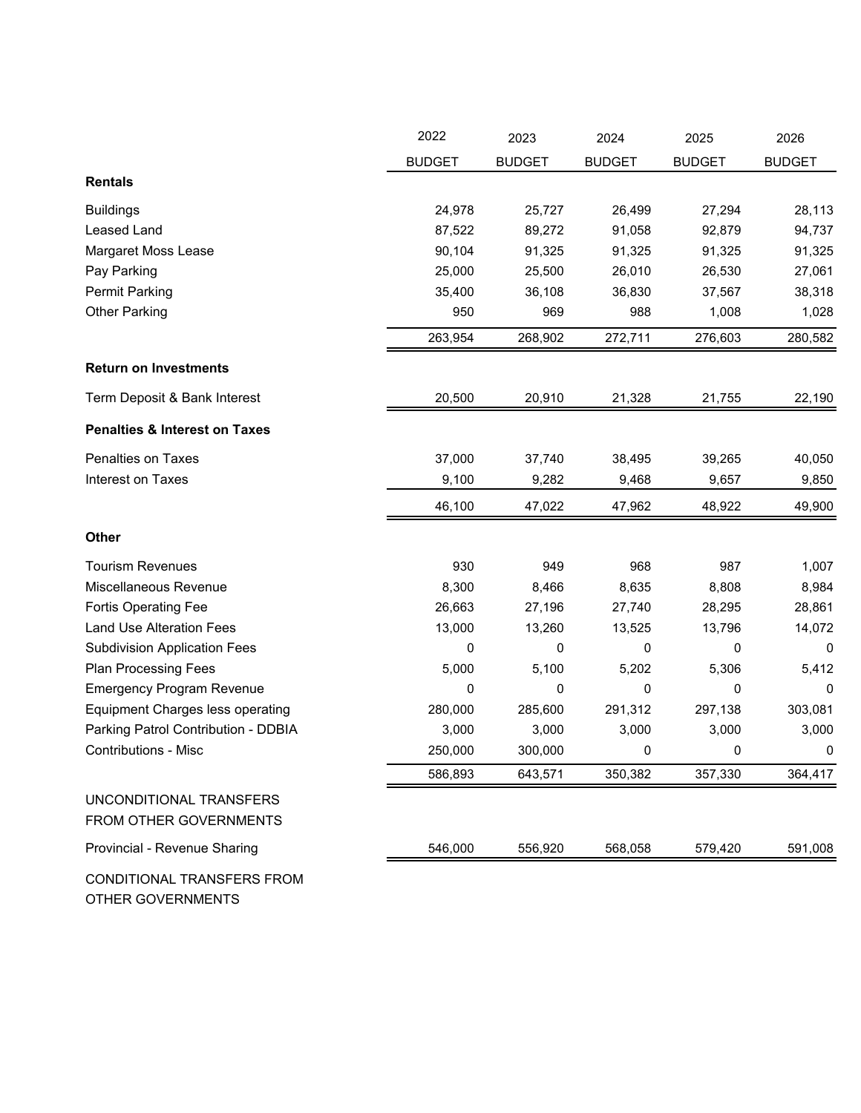|                                                   | 2022          | 2023          | 2024          | 2025          | 2026          |
|---------------------------------------------------|---------------|---------------|---------------|---------------|---------------|
|                                                   | <b>BUDGET</b> | <b>BUDGET</b> | <b>BUDGET</b> | <b>BUDGET</b> | <b>BUDGET</b> |
| <b>Rentals</b>                                    |               |               |               |               |               |
| <b>Buildings</b>                                  | 24,978        | 25,727        | 26,499        | 27,294        | 28,113        |
| <b>Leased Land</b>                                | 87,522        | 89,272        | 91,058        | 92,879        | 94,737        |
| Margaret Moss Lease                               | 90,104        | 91,325        | 91,325        | 91,325        | 91,325        |
| Pay Parking                                       | 25,000        | 25,500        | 26,010        | 26,530        | 27,061        |
| <b>Permit Parking</b>                             | 35,400        | 36,108        | 36,830        | 37,567        | 38,318        |
| <b>Other Parking</b>                              | 950           | 969           | 988           | 1,008         | 1,028         |
|                                                   | 263,954       | 268,902       | 272,711       | 276,603       | 280,582       |
| <b>Return on Investments</b>                      |               |               |               |               |               |
| Term Deposit & Bank Interest                      | 20,500        | 20,910        | 21,328        | 21,755        | 22,190        |
| <b>Penalties &amp; Interest on Taxes</b>          |               |               |               |               |               |
| Penalties on Taxes                                | 37,000        | 37,740        | 38,495        | 39,265        | 40,050        |
| Interest on Taxes                                 | 9,100         | 9,282         | 9,468         | 9,657         | 9,850         |
|                                                   | 46,100        | 47,022        | 47,962        | 48,922        | 49,900        |
| Other                                             |               |               |               |               |               |
| <b>Tourism Revenues</b>                           | 930           | 949           | 968           | 987           | 1,007         |
| Miscellaneous Revenue                             | 8,300         | 8,466         | 8,635         | 8,808         | 8,984         |
| <b>Fortis Operating Fee</b>                       | 26,663        | 27,196        | 27,740        | 28,295        | 28,861        |
| <b>Land Use Alteration Fees</b>                   | 13,000        | 13,260        | 13,525        | 13,796        | 14,072        |
| <b>Subdivision Application Fees</b>               | 0             | 0             | 0             | 0             | 0             |
| <b>Plan Processing Fees</b>                       | 5,000         | 5,100         | 5,202         | 5,306         | 5,412         |
| <b>Emergency Program Revenue</b>                  | 0             | 0             | 0             | 0             | 0             |
| <b>Equipment Charges less operating</b>           | 280,000       | 285,600       | 291,312       | 297,138       | 303,081       |
| Parking Patrol Contribution - DDBIA               | 3,000         | 3,000         | 3,000         | 3,000         | 3,000         |
| <b>Contributions - Misc</b>                       | 250,000       | 300,000       | 0             | 0             | 0             |
|                                                   | 586,893       | 643,571       | 350,382       | 357,330       | 364,417       |
| UNCONDITIONAL TRANSFERS<br>FROM OTHER GOVERNMENTS |               |               |               |               |               |
| Provincial - Revenue Sharing                      | 546,000       | 556,920       | 568,058       | 579,420       | 591,008       |
| CONDITIONAL TRANSFERS FROM                        |               |               |               |               |               |

OTHER GOVERNMENTS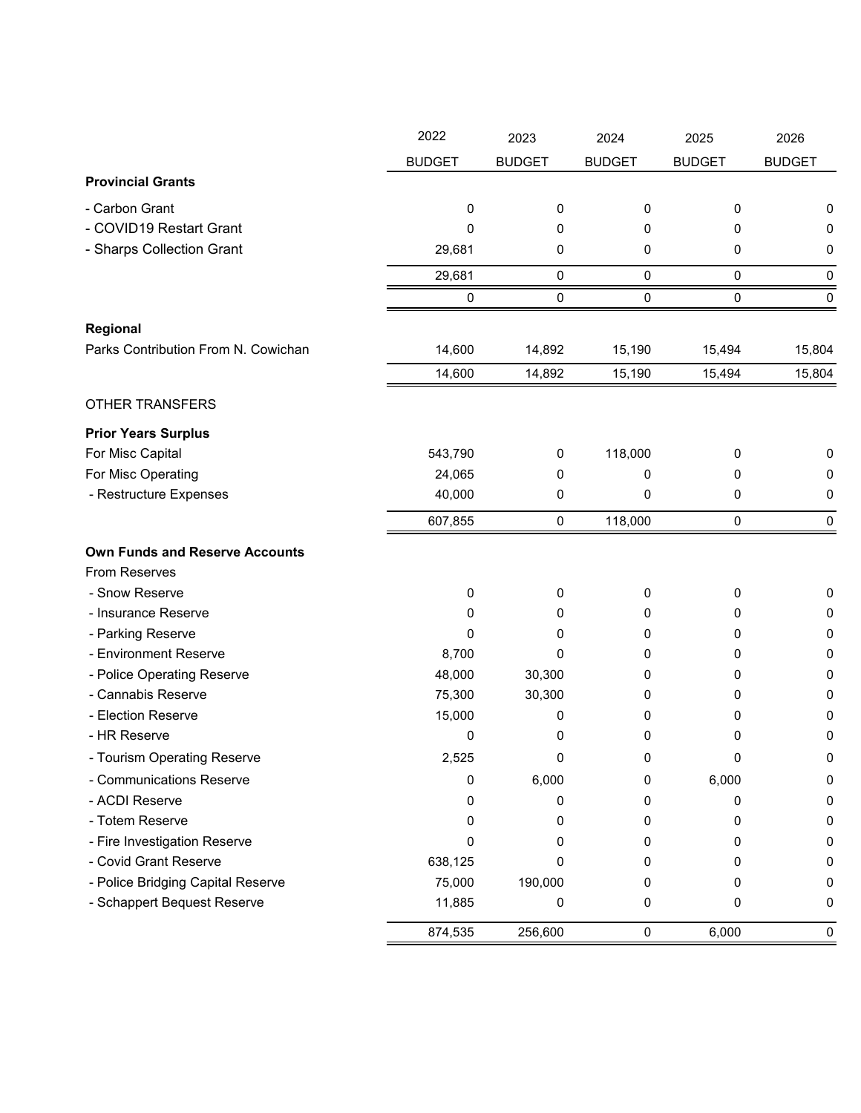|                                       | 2022          | 2023          | 2024          | 2025          | 2026          |
|---------------------------------------|---------------|---------------|---------------|---------------|---------------|
|                                       | <b>BUDGET</b> | <b>BUDGET</b> | <b>BUDGET</b> | <b>BUDGET</b> | <b>BUDGET</b> |
| <b>Provincial Grants</b>              |               |               |               |               |               |
| - Carbon Grant                        | 0             | 0             | 0             | 0             | 0             |
| - COVID19 Restart Grant               | 0             | 0             | 0             | 0             | 0             |
| - Sharps Collection Grant             | 29,681        | 0             | 0             | 0             | 0             |
|                                       | 29,681        | 0             | $\pmb{0}$     | 0             | 0             |
|                                       | 0             | 0             | $\pmb{0}$     | 0             | 0             |
|                                       |               |               |               |               |               |
| Regional                              |               |               |               |               |               |
| Parks Contribution From N. Cowichan   | 14,600        | 14,892        | 15,190        | 15,494        | 15,804        |
|                                       | 14,600        | 14,892        | 15,190        | 15,494        | 15,804        |
| <b>OTHER TRANSFERS</b>                |               |               |               |               |               |
| <b>Prior Years Surplus</b>            |               |               |               |               |               |
| For Misc Capital                      | 543,790       | 0             | 118,000       | 0             | 0             |
| For Misc Operating                    | 24,065        | 0             | 0             | 0             | 0             |
| - Restructure Expenses                | 40,000        | 0             | 0             | 0             | 0             |
|                                       | 607,855       | 0             | 118,000       | 0             | $\mathbf 0$   |
| <b>Own Funds and Reserve Accounts</b> |               |               |               |               |               |
| From Reserves                         |               |               |               |               |               |
| - Snow Reserve                        | 0             | 0             | 0             | 0             | $\pmb{0}$     |
| - Insurance Reserve                   | 0             | 0             | 0             | 0             | 0             |
| - Parking Reserve                     | 0             | 0             | 0             | 0             | 0             |
| - Environment Reserve                 | 8,700         | 0             | 0             | 0             | 0             |
| - Police Operating Reserve            | 48,000        | 30,300        | 0             | 0             | 0             |
| - Cannabis Reserve                    | 75,300        | 30,300        | 0             | 0             | 0             |
| - Election Reserve                    | 15,000        | 0             | 0             | 0             | 0             |
| - HR Reserve                          | 0             | 0             | 0             | 0             | 0             |
| - Tourism Operating Reserve           | 2.525         | 0             | 0             | 0             | 0             |
| - Communications Reserve              | 0             | 6,000         | 0             | 6,000         | 0             |
| - ACDI Reserve                        | 0             | 0             | 0             | 0             | 0             |
| - Totem Reserve                       | 0             | 0             | 0             | 0             | 0             |
| - Fire Investigation Reserve          | 0             | 0             | 0             | 0             | 0             |
| - Covid Grant Reserve                 | 638,125       | 0             | 0             | Ω             | 0             |
| - Police Bridging Capital Reserve     | 75,000        | 190,000       | 0             | 0             | 0             |
| - Schappert Bequest Reserve           | 11,885        | 0             | 0             | 0             | 0             |
|                                       | 874,535       | 256,600       | $\pmb{0}$     | 6,000         | $\pmb{0}$     |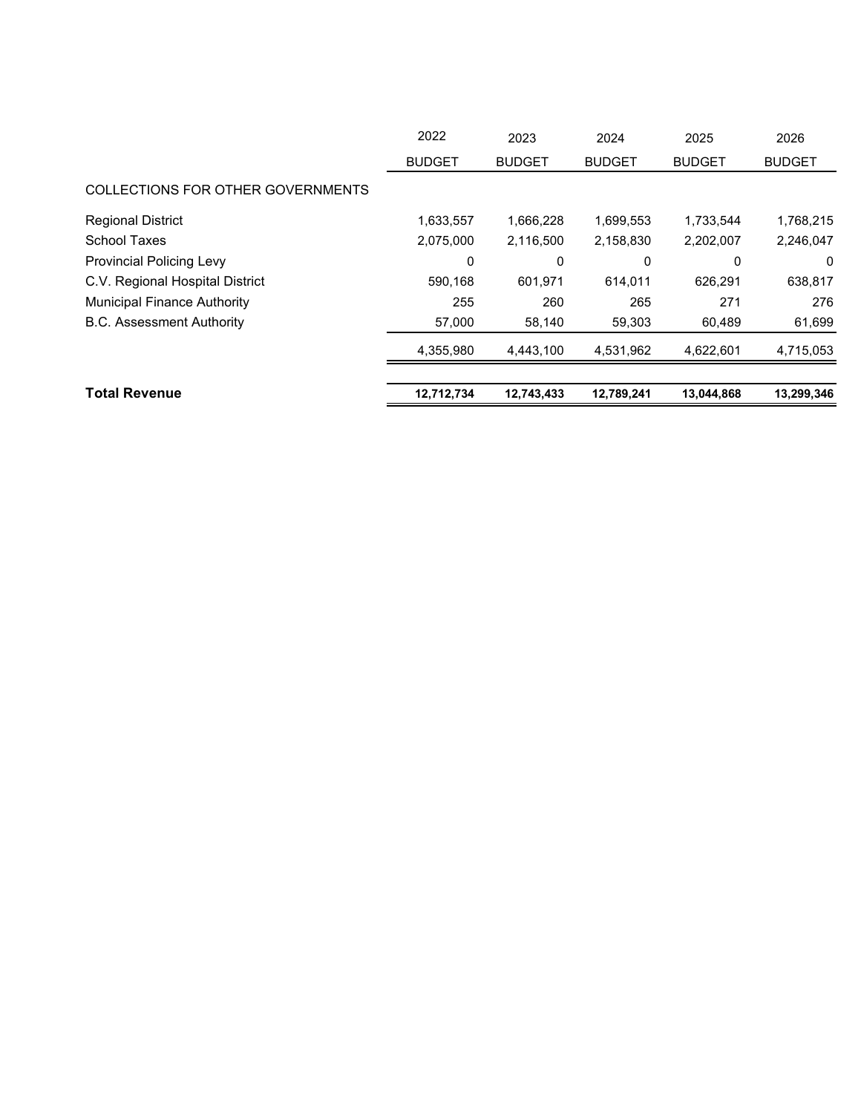|                                    | 2022          | 2023          | 2024          | 2025          | 2026          |
|------------------------------------|---------------|---------------|---------------|---------------|---------------|
|                                    | <b>BUDGET</b> | <b>BUDGET</b> | <b>BUDGET</b> | <b>BUDGET</b> | <b>BUDGET</b> |
| COLLECTIONS FOR OTHER GOVERNMENTS  |               |               |               |               |               |
| <b>Regional District</b>           | 1,633,557     | 1,666,228     | 1,699,553     | 1,733,544     | 1,768,215     |
| <b>School Taxes</b>                | 2,075,000     | 2,116,500     | 2,158,830     | 2,202,007     | 2,246,047     |
| <b>Provincial Policing Levy</b>    | 0             | 0             | 0             | 0             | 0             |
| C.V. Regional Hospital District    | 590,168       | 601,971       | 614,011       | 626.291       | 638,817       |
| <b>Municipal Finance Authority</b> | 255           | 260           | 265           | 271           | 276           |
| <b>B.C. Assessment Authority</b>   | 57,000        | 58,140        | 59,303        | 60,489        | 61,699        |
|                                    | 4,355,980     | 4,443,100     | 4,531,962     | 4,622,601     | 4,715,053     |
|                                    |               |               |               |               |               |
| <b>Total Revenue</b>               | 12,712,734    | 12,743,433    | 12,789,241    | 13,044,868    | 13,299,346    |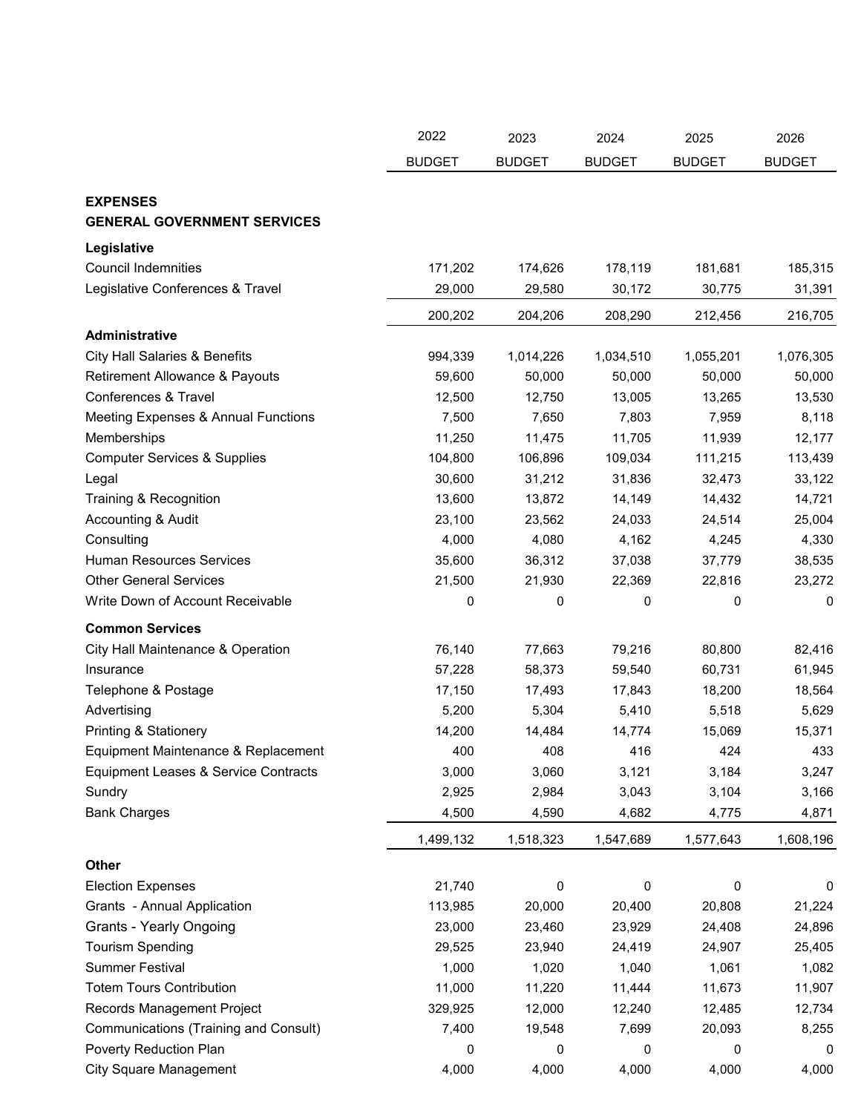|                                          | 2022          | 2023          | 2024          | 2025          | 2026          |
|------------------------------------------|---------------|---------------|---------------|---------------|---------------|
|                                          | <b>BUDGET</b> | <b>BUDGET</b> | <b>BUDGET</b> | <b>BUDGET</b> | <b>BUDGET</b> |
|                                          |               |               |               |               |               |
| <b>EXPENSES</b>                          |               |               |               |               |               |
| <b>GENERAL GOVERNMENT SERVICES</b>       |               |               |               |               |               |
| Legislative                              |               |               |               |               |               |
| <b>Council Indemnities</b>               | 171,202       | 174,626       | 178,119       | 181,681       | 185,315       |
| Legislative Conferences & Travel         | 29,000        | 29,580        | 30,172        | 30,775        | 31,391        |
|                                          | 200,202       | 204,206       | 208,290       | 212,456       | 216,705       |
| <b>Administrative</b>                    |               |               |               |               |               |
| <b>City Hall Salaries &amp; Benefits</b> | 994,339       | 1,014,226     | 1,034,510     | 1,055,201     | 1,076,305     |
| Retirement Allowance & Payouts           | 59,600        | 50,000        | 50,000        | 50,000        | 50,000        |
| Conferences & Travel                     | 12,500        | 12,750        | 13,005        | 13,265        | 13,530        |
| Meeting Expenses & Annual Functions      | 7,500         | 7,650         | 7,803         | 7,959         | 8,118         |
| Memberships                              | 11,250        | 11,475        | 11,705        | 11,939        | 12,177        |
| <b>Computer Services &amp; Supplies</b>  | 104,800       | 106,896       | 109,034       | 111,215       | 113,439       |
| Legal                                    | 30,600        | 31,212        | 31,836        | 32,473        | 33,122        |
| Training & Recognition                   | 13,600        | 13,872        | 14,149        | 14,432        | 14,721        |
| Accounting & Audit                       | 23,100        | 23,562        | 24,033        | 24,514        | 25,004        |
| Consulting                               | 4,000         | 4,080         | 4,162         | 4,245         | 4,330         |
| <b>Human Resources Services</b>          | 35,600        | 36,312        | 37,038        | 37,779        | 38,535        |
| <b>Other General Services</b>            | 21,500        | 21,930        | 22,369        | 22,816        | 23,272        |
| Write Down of Account Receivable         | 0             | 0             | 0             | 0             | 0             |
| <b>Common Services</b>                   |               |               |               |               |               |
| City Hall Maintenance & Operation        | 76,140        | 77,663        | 79,216        | 80,800        | 82,416        |
| Insurance                                | 57,228        | 58,373        | 59,540        | 60,731        | 61,945        |
| Telephone & Postage                      | 17,150        | 17,493        | 17,843        | 18,200        | 18,564        |
| Advertising                              | 5,200         | 5,304         | 5,410         | 5,518         | 5,629         |
| <b>Printing &amp; Stationery</b>         | 14,200        | 14,484        | 14,774        | 15,069        | 15,371        |
| Equipment Maintenance & Replacement      | 400           | 408           | 416           | 424           | 433           |
| Equipment Leases & Service Contracts     | 3,000         | 3,060         | 3,121         | 3,184         | 3,247         |
| Sundry                                   | 2,925         | 2,984         | 3,043         | 3,104         | 3,166         |
| <b>Bank Charges</b>                      | 4,500         | 4,590         | 4,682         | 4,775         | 4,871         |
|                                          | 1,499,132     | 1,518,323     | 1,547,689     | 1,577,643     | 1,608,196     |
|                                          |               |               |               |               |               |
| Other                                    |               |               |               |               |               |
| <b>Election Expenses</b>                 | 21,740        | 0             | 0             | 0             | 0             |
| Grants - Annual Application              | 113,985       | 20,000        | 20,400        | 20,808        | 21,224        |
| <b>Grants - Yearly Ongoing</b>           | 23,000        | 23,460        | 23,929        | 24,408        | 24,896        |
| <b>Tourism Spending</b>                  | 29,525        | 23,940        | 24,419        | 24,907        | 25,405        |
| <b>Summer Festival</b>                   | 1,000         | 1,020         | 1,040         | 1,061         | 1,082         |
| <b>Totem Tours Contribution</b>          | 11,000        | 11,220        | 11,444        | 11,673        | 11,907        |
| Records Management Project               | 329,925       | 12,000        | 12,240        | 12,485        | 12,734        |
| Communications (Training and Consult)    | 7,400         | 19,548        | 7,699         | 20,093        | 8,255         |
| Poverty Reduction Plan                   | 0             | 0             | 0             | 0             | 0             |
| <b>City Square Management</b>            | 4,000         | 4,000         | 4,000         | 4,000         | 4,000         |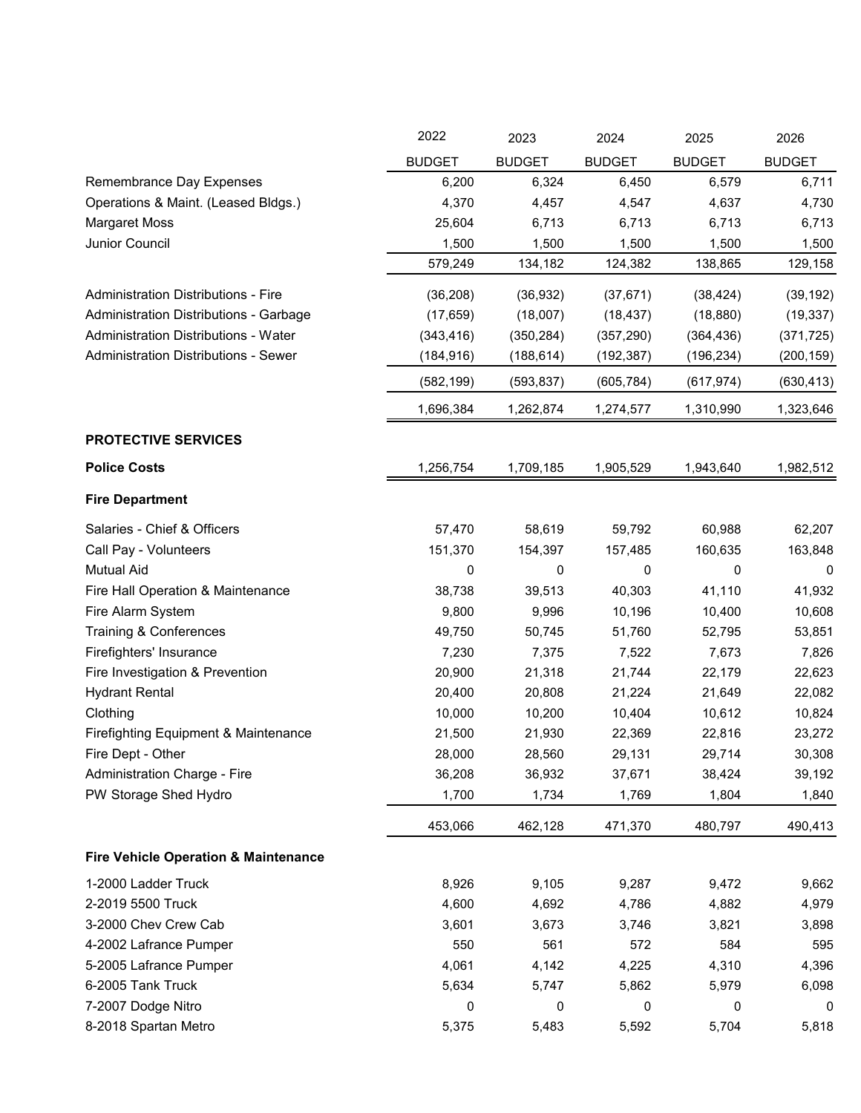|                                                 | 2022          | 2023          | 2024          | 2025          | 2026          |
|-------------------------------------------------|---------------|---------------|---------------|---------------|---------------|
|                                                 | <b>BUDGET</b> | <b>BUDGET</b> | <b>BUDGET</b> | <b>BUDGET</b> | <b>BUDGET</b> |
| Remembrance Day Expenses                        | 6,200         | 6,324         | 6,450         | 6,579         | 6,711         |
| Operations & Maint. (Leased Bldgs.)             | 4,370         | 4,457         | 4,547         | 4,637         | 4,730         |
| <b>Margaret Moss</b>                            | 25,604        | 6,713         | 6,713         | 6,713         | 6,713         |
| Junior Council                                  | 1,500         | 1,500         | 1,500         | 1,500         | 1,500         |
|                                                 | 579,249       | 134,182       | 124,382       | 138,865       | 129,158       |
| <b>Administration Distributions - Fire</b>      | (36, 208)     | (36, 932)     | (37, 671)     | (38, 424)     | (39, 192)     |
| Administration Distributions - Garbage          | (17, 659)     | (18,007)      | (18, 437)     | (18, 880)     | (19, 337)     |
| <b>Administration Distributions - Water</b>     | (343, 416)    | (350, 284)    | (357, 290)    | (364, 436)    | (371, 725)    |
| <b>Administration Distributions - Sewer</b>     | (184, 916)    | (188, 614)    | (192, 387)    | (196, 234)    | (200, 159)    |
|                                                 | (582, 199)    | (593, 837)    | (605, 784)    | (617, 974)    | (630, 413)    |
|                                                 | 1,696,384     | 1,262,874     | 1,274,577     | 1,310,990     | 1,323,646     |
| <b>PROTECTIVE SERVICES</b>                      |               |               |               |               |               |
| <b>Police Costs</b>                             | 1,256,754     | 1,709,185     | 1,905,529     | 1,943,640     | 1,982,512     |
| <b>Fire Department</b>                          |               |               |               |               |               |
| Salaries - Chief & Officers                     | 57,470        | 58,619        | 59,792        | 60,988        | 62,207        |
| Call Pay - Volunteers                           | 151,370       | 154,397       | 157,485       | 160,635       | 163,848       |
| <b>Mutual Aid</b>                               | 0             | 0             | 0             | 0             | 0             |
| Fire Hall Operation & Maintenance               | 38,738        | 39,513        | 40,303        | 41,110        | 41,932        |
| Fire Alarm System                               | 9,800         | 9,996         | 10,196        | 10,400        | 10,608        |
| Training & Conferences                          | 49,750        | 50,745        | 51,760        | 52,795        | 53,851        |
| Firefighters' Insurance                         | 7,230         | 7,375         | 7,522         | 7,673         | 7,826         |
| Fire Investigation & Prevention                 | 20,900        | 21,318        | 21,744        | 22,179        | 22,623        |
| <b>Hydrant Rental</b>                           | 20,400        | 20,808        | 21,224        | 21,649        | 22,082        |
| Clothing                                        | 10,000        | 10,200        | 10,404        | 10,612        | 10,824        |
| Firefighting Equipment & Maintenance            | 21,500        | 21,930        | 22,369        | 22,816        | 23,272        |
| Fire Dept - Other                               | 28,000        | 28,560        | 29,131        | 29,714        | 30,308        |
| Administration Charge - Fire                    | 36,208        | 36,932        | 37,671        | 38,424        | 39,192        |
| PW Storage Shed Hydro                           | 1,700         | 1,734         | 1,769         | 1,804         | 1,840         |
|                                                 | 453,066       | 462,128       | 471,370       | 480,797       | 490,413       |
| <b>Fire Vehicle Operation &amp; Maintenance</b> |               |               |               |               |               |
| 1-2000 Ladder Truck                             | 8,926         | 9,105         | 9,287         | 9,472         | 9,662         |
| 2-2019 5500 Truck                               | 4,600         | 4,692         | 4,786         | 4,882         | 4,979         |
| 3-2000 Chev Crew Cab                            | 3,601         | 3,673         | 3,746         | 3,821         | 3,898         |
| 4-2002 Lafrance Pumper                          | 550           | 561           | 572           | 584           | 595           |
| 5-2005 Lafrance Pumper                          | 4,061         | 4,142         | 4,225         | 4,310         | 4,396         |
| 6-2005 Tank Truck                               | 5,634         | 5,747         | 5,862         | 5,979         | 6,098         |
| 7-2007 Dodge Nitro                              | 0             | 0             | 0             | 0             | 0             |
| 8-2018 Spartan Metro                            | 5,375         | 5,483         | 5,592         | 5,704         | 5,818         |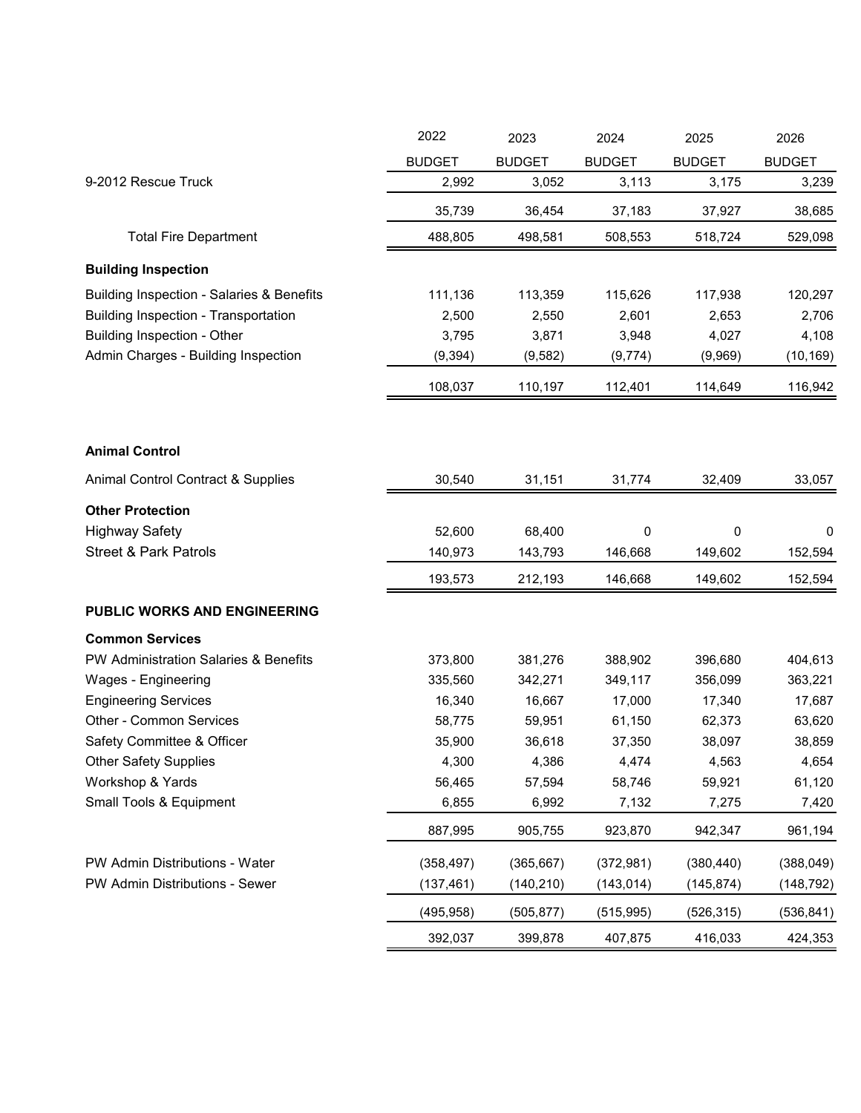|                                                      | 2022          | 2023          | 2024          | 2025          | 2026          |
|------------------------------------------------------|---------------|---------------|---------------|---------------|---------------|
|                                                      | <b>BUDGET</b> | <b>BUDGET</b> | <b>BUDGET</b> | <b>BUDGET</b> | <b>BUDGET</b> |
| 9-2012 Rescue Truck                                  | 2,992         | 3,052         | 3,113         | 3,175         | 3,239         |
|                                                      | 35,739        | 36,454        | 37,183        | 37,927        | 38,685        |
| <b>Total Fire Department</b>                         | 488,805       | 498,581       | 508,553       | 518,724       | 529,098       |
| <b>Building Inspection</b>                           |               |               |               |               |               |
| <b>Building Inspection - Salaries &amp; Benefits</b> | 111,136       | 113,359       | 115,626       | 117,938       | 120,297       |
| <b>Building Inspection - Transportation</b>          | 2,500         | 2,550         | 2,601         | 2,653         | 2,706         |
| <b>Building Inspection - Other</b>                   | 3,795         | 3,871         | 3,948         | 4,027         | 4,108         |
| Admin Charges - Building Inspection                  | (9, 394)      | (9,582)       | (9,774)       | (9,969)       | (10, 169)     |
|                                                      | 108,037       | 110,197       | 112,401       | 114,649       | 116,942       |
|                                                      |               |               |               |               |               |
| <b>Animal Control</b>                                |               |               |               |               |               |
| Animal Control Contract & Supplies                   | 30,540        | 31,151        | 31,774        | 32,409        | 33,057        |
| <b>Other Protection</b>                              |               |               |               |               |               |
| <b>Highway Safety</b>                                | 52,600        | 68,400        | 0             | 0             | 0             |
| <b>Street &amp; Park Patrols</b>                     | 140,973       | 143,793       | 146,668       | 149,602       | 152,594       |
|                                                      | 193,573       | 212,193       | 146,668       | 149,602       | 152,594       |
| <b>PUBLIC WORKS AND ENGINEERING</b>                  |               |               |               |               |               |
| <b>Common Services</b>                               |               |               |               |               |               |
| <b>PW Administration Salaries &amp; Benefits</b>     | 373,800       | 381,276       | 388,902       | 396,680       | 404,613       |
| Wages - Engineering                                  | 335,560       | 342,271       | 349,117       | 356,099       | 363,221       |
| <b>Engineering Services</b>                          | 16,340        | 16,667        | 17,000        | 17,340        | 17,687        |
| Other - Common Services                              | 58,775        | 59,951        | 61,150        | 62,373        | 63,620        |
| Safety Committee & Officer                           | 35,900        | 36,618        | 37,350        | 38,097        | 38,859        |
| <b>Other Safety Supplies</b>                         | 4,300         | 4,386         | 4,474         | 4,563         | 4,654         |
| Workshop & Yards                                     | 56,465        | 57,594        | 58,746        | 59,921        | 61,120        |
| Small Tools & Equipment                              | 6,855         | 6,992         | 7,132         | 7,275         | 7,420         |
|                                                      | 887,995       | 905,755       | 923,870       | 942,347       | 961,194       |
| PW Admin Distributions - Water                       | (358, 497)    | (365, 667)    | (372, 981)    | (380, 440)    | (388, 049)    |
| PW Admin Distributions - Sewer                       | (137, 461)    | (140, 210)    | (143, 014)    | (145, 874)    | (148, 792)    |
|                                                      | (495, 958)    | (505, 877)    | (515, 995)    | (526, 315)    | (536, 841)    |
|                                                      | 392,037       | 399,878       | 407,875       | 416,033       | 424,353       |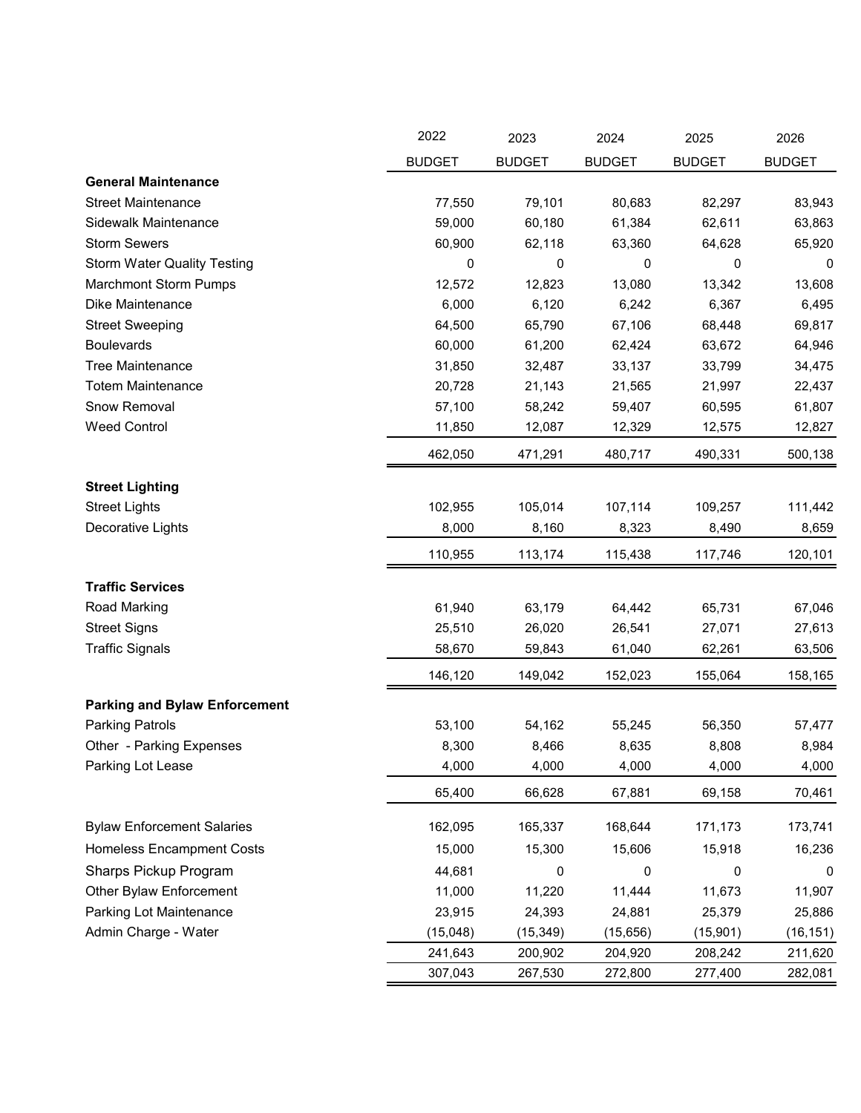|                                      | 2022          | 2023          | 2024          | 2025          | 2026          |
|--------------------------------------|---------------|---------------|---------------|---------------|---------------|
|                                      | <b>BUDGET</b> | <b>BUDGET</b> | <b>BUDGET</b> | <b>BUDGET</b> | <b>BUDGET</b> |
| <b>General Maintenance</b>           |               |               |               |               |               |
| <b>Street Maintenance</b>            | 77,550        | 79,101        | 80,683        | 82,297        | 83,943        |
| <b>Sidewalk Maintenance</b>          | 59,000        | 60,180        | 61,384        | 62,611        | 63,863        |
| <b>Storm Sewers</b>                  | 60,900        | 62,118        | 63,360        | 64,628        | 65,920        |
| <b>Storm Water Quality Testing</b>   | 0             | 0             | 0             | 0             | 0             |
| <b>Marchmont Storm Pumps</b>         | 12,572        | 12,823        | 13,080        | 13,342        | 13,608        |
| Dike Maintenance                     | 6,000         | 6,120         | 6,242         | 6,367         | 6,495         |
| <b>Street Sweeping</b>               | 64,500        | 65,790        | 67,106        | 68,448        | 69,817        |
| <b>Boulevards</b>                    | 60,000        | 61,200        | 62,424        | 63,672        | 64,946        |
| <b>Tree Maintenance</b>              | 31,850        | 32,487        | 33,137        | 33,799        | 34,475        |
| <b>Totem Maintenance</b>             | 20,728        | 21,143        | 21,565        | 21,997        | 22,437        |
| Snow Removal                         | 57,100        | 58,242        | 59,407        | 60,595        | 61,807        |
| <b>Weed Control</b>                  | 11,850        | 12,087        | 12,329        | 12,575        | 12,827        |
|                                      | 462,050       | 471,291       | 480,717       | 490,331       | 500,138       |
| <b>Street Lighting</b>               |               |               |               |               |               |
| <b>Street Lights</b>                 | 102,955       | 105,014       | 107,114       | 109,257       | 111,442       |
| Decorative Lights                    | 8,000         | 8,160         | 8,323         | 8,490         | 8,659         |
|                                      | 110,955       | 113,174       | 115,438       | 117,746       | 120,101       |
| <b>Traffic Services</b>              |               |               |               |               |               |
| Road Marking                         | 61,940        | 63,179        | 64,442        | 65,731        | 67,046        |
| <b>Street Signs</b>                  | 25,510        | 26,020        | 26,541        | 27,071        | 27,613        |
| <b>Traffic Signals</b>               | 58,670        | 59,843        | 61,040        | 62,261        | 63,506        |
|                                      | 146,120       | 149,042       | 152,023       | 155,064       | 158,165       |
| <b>Parking and Bylaw Enforcement</b> |               |               |               |               |               |
| <b>Parking Patrols</b>               | 53,100        | 54,162        | 55,245        | 56,350        | 57,477        |
| Other - Parking Expenses             | 8,300         | 8,466         | 8,635         | 8,808         | 8,984         |
| Parking Lot Lease                    | 4,000         | 4,000         | 4,000         | 4,000         | 4,000         |
|                                      | 65,400        | 66,628        | 67,881        | 69,158        | 70,461        |
| <b>Bylaw Enforcement Salaries</b>    | 162,095       | 165,337       | 168,644       | 171,173       | 173,741       |
| <b>Homeless Encampment Costs</b>     | 15,000        | 15,300        | 15,606        | 15,918        | 16,236        |
| Sharps Pickup Program                | 44,681        | 0             | 0             | 0             | 0             |
| Other Bylaw Enforcement              | 11,000        | 11,220        | 11,444        | 11,673        | 11,907        |
| Parking Lot Maintenance              | 23,915        | 24,393        | 24,881        | 25,379        | 25,886        |
| Admin Charge - Water                 | (15,048)      | (15, 349)     | (15, 656)     | (15, 901)     | (16, 151)     |
|                                      | 241,643       | 200,902       | 204,920       | 208,242       | 211,620       |
|                                      | 307,043       | 267,530       | 272,800       | 277,400       | 282,081       |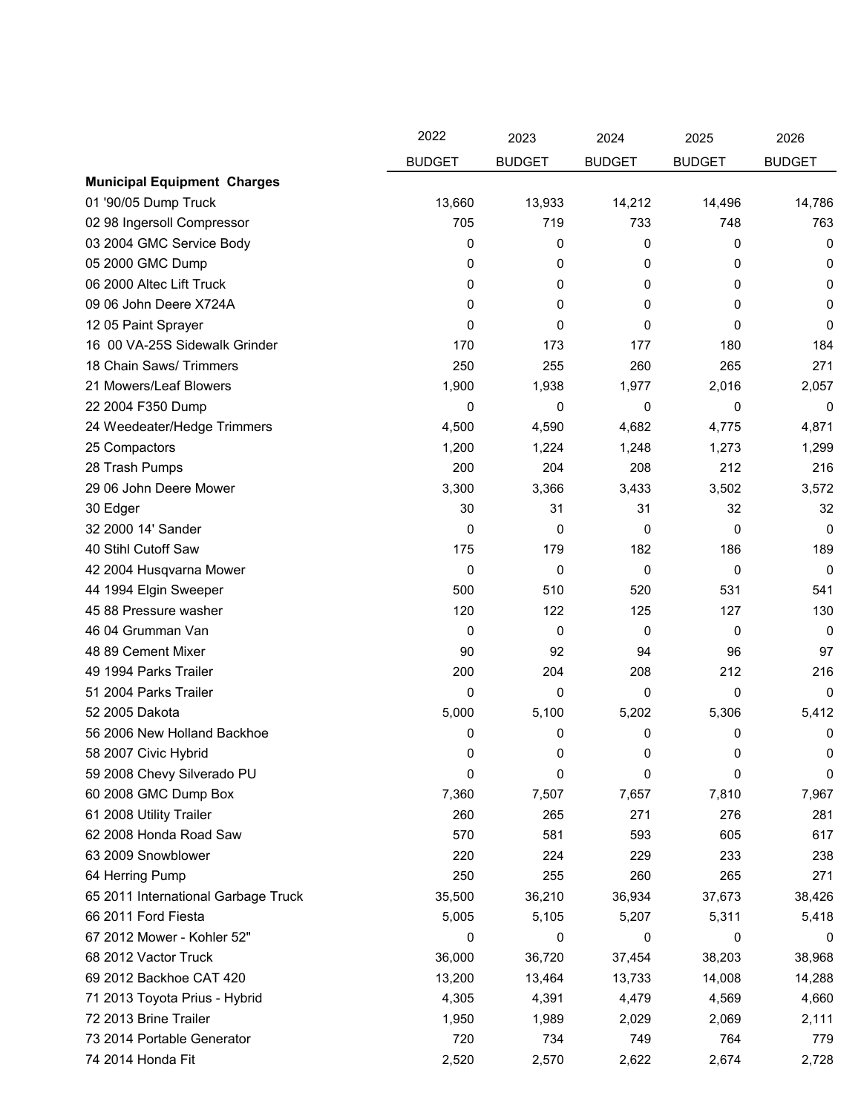|                                     | 2022          | 2023          | 2024          | 2025          | 2026          |
|-------------------------------------|---------------|---------------|---------------|---------------|---------------|
|                                     | <b>BUDGET</b> | <b>BUDGET</b> | <b>BUDGET</b> | <b>BUDGET</b> | <b>BUDGET</b> |
| <b>Municipal Equipment Charges</b>  |               |               |               |               |               |
| 01 '90/05 Dump Truck                | 13,660        | 13,933        | 14,212        | 14,496        | 14,786        |
| 02 98 Ingersoll Compressor          | 705           | 719           | 733           | 748           | 763           |
| 03 2004 GMC Service Body            | 0             | 0             | 0             | 0             | 0             |
| 05 2000 GMC Dump                    | 0             | 0             | 0             | 0             | 0             |
| 06 2000 Altec Lift Truck            | 0             | 0             | 0             | 0             | 0             |
| 09 06 John Deere X724A              | 0             | 0             | 0             | 0             | 0             |
| 12 05 Paint Sprayer                 | 0             | 0             | 0             | 0             | 0             |
| 16 00 VA-25S Sidewalk Grinder       | 170           | 173           | 177           | 180           | 184           |
| 18 Chain Saws/ Trimmers             | 250           | 255           | 260           | 265           | 271           |
| 21 Mowers/Leaf Blowers              | 1,900         | 1,938         | 1,977         | 2,016         | 2,057         |
| 22 2004 F350 Dump                   | 0             | 0             | 0             | 0             | 0             |
| 24 Weedeater/Hedge Trimmers         | 4,500         | 4,590         | 4,682         | 4,775         | 4,871         |
| 25 Compactors                       | 1,200         | 1,224         | 1,248         | 1,273         | 1,299         |
| 28 Trash Pumps                      | 200           | 204           | 208           | 212           | 216           |
| 29 06 John Deere Mower              | 3,300         | 3,366         | 3,433         | 3,502         | 3,572         |
| 30 Edger                            | 30            | 31            | 31            | 32            | 32            |
| 32 2000 14' Sander                  | 0             | 0             | 0             | 0             | $\Omega$      |
| 40 Stihl Cutoff Saw                 | 175           | 179           | 182           | 186           | 189           |
| 42 2004 Husqvarna Mower             | 0             | 0             | 0             | 0             | $\mathbf 0$   |
| 44 1994 Elgin Sweeper               | 500           | 510           | 520           | 531           | 541           |
| 45 88 Pressure washer               | 120           | 122           | 125           | 127           | 130           |
| 46 04 Grumman Van                   | 0             | 0             | 0             | 0             | 0             |
| 48 89 Cement Mixer                  | 90            | 92            | 94            | 96            | 97            |
| 49 1994 Parks Trailer               | 200           | 204           | 208           | 212           | 216           |
| 51 2004 Parks Trailer               | 0             | 0             | 0             | 0             | 0             |
| 52 2005 Dakota                      | 5,000         | 5,100         | 5,202         | 5,306         | 5,412         |
| 56 2006 New Holland Backhoe         | 0             | 0             | 0             | 0             | 0             |
| 58 2007 Civic Hybrid                | 0             | 0             | 0             | 0             | 0             |
| 59 2008 Chevy Silverado PU          | 0             | 0             | 0             | 0             | 0             |
| 60 2008 GMC Dump Box                | 7,360         | 7,507         | 7,657         | 7,810         | 7,967         |
| 61 2008 Utility Trailer             | 260           | 265           | 271           | 276           | 281           |
| 62 2008 Honda Road Saw              | 570           | 581           | 593           | 605           | 617           |
| 63 2009 Snowblower                  | 220           | 224           | 229           | 233           | 238           |
| 64 Herring Pump                     | 250           | 255           | 260           | 265           | 271           |
| 65 2011 International Garbage Truck | 35,500        | 36,210        | 36,934        | 37,673        | 38,426        |
| 66 2011 Ford Fiesta                 | 5,005         | 5,105         | 5,207         | 5,311         | 5,418         |
| 67 2012 Mower - Kohler 52"          | 0             | 0             | 0             | 0             | 0             |
| 68 2012 Vactor Truck                | 36,000        | 36,720        | 37,454        | 38,203        | 38,968        |
| 69 2012 Backhoe CAT 420             | 13,200        | 13,464        | 13,733        | 14,008        | 14,288        |
| 71 2013 Toyota Prius - Hybrid       | 4,305         | 4,391         | 4,479         | 4,569         | 4,660         |
| 72 2013 Brine Trailer               | 1,950         | 1,989         | 2,029         | 2,069         | 2,111         |
| 73 2014 Portable Generator          | 720           | 734           | 749           | 764           | 779           |
| 74 2014 Honda Fit                   | 2,520         | 2,570         | 2,622         | 2,674         | 2,728         |
|                                     |               |               |               |               |               |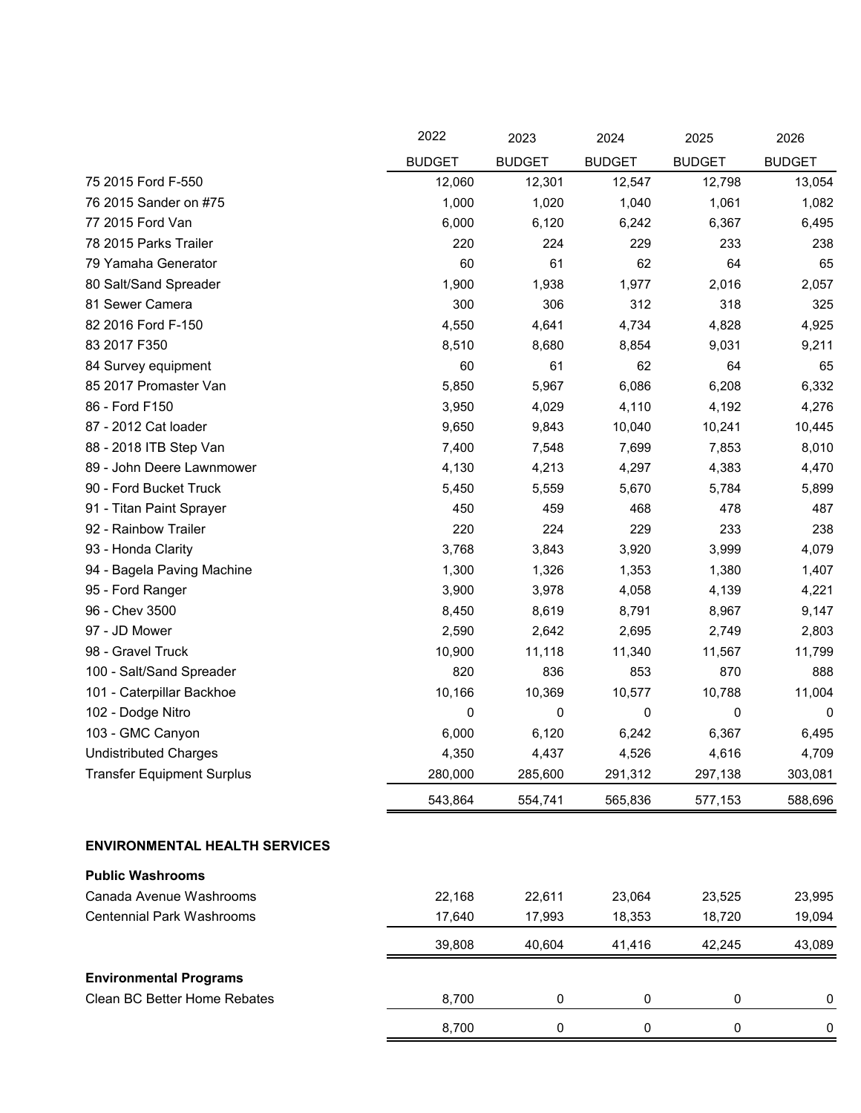|                                      | 2022          | 2023          | 2024          | 2025          | 2026          |
|--------------------------------------|---------------|---------------|---------------|---------------|---------------|
|                                      | <b>BUDGET</b> | <b>BUDGET</b> | <b>BUDGET</b> | <b>BUDGET</b> | <b>BUDGET</b> |
| 75 2015 Ford F-550                   | 12,060        | 12,301        | 12,547        | 12,798        | 13,054        |
| 76 2015 Sander on #75                | 1,000         | 1,020         | 1,040         | 1,061         | 1,082         |
| 77 2015 Ford Van                     | 6,000         | 6,120         | 6,242         | 6,367         | 6,495         |
| 78 2015 Parks Trailer                | 220           | 224           | 229           | 233           | 238           |
| 79 Yamaha Generator                  | 60            | 61            | 62            | 64            | 65            |
| 80 Salt/Sand Spreader                | 1,900         | 1,938         | 1,977         | 2,016         | 2,057         |
| 81 Sewer Camera                      | 300           | 306           | 312           | 318           | 325           |
| 82 2016 Ford F-150                   | 4,550         | 4,641         | 4,734         | 4,828         | 4,925         |
| 83 2017 F350                         | 8,510         | 8,680         | 8,854         | 9,031         | 9,211         |
| 84 Survey equipment                  | 60            | 61            | 62            | 64            | 65            |
| 85 2017 Promaster Van                | 5,850         | 5,967         | 6,086         | 6,208         | 6,332         |
| 86 - Ford F150                       | 3,950         | 4,029         | 4,110         | 4,192         | 4,276         |
| 87 - 2012 Cat loader                 | 9,650         | 9,843         | 10,040        | 10,241        | 10,445        |
| 88 - 2018 ITB Step Van               | 7,400         | 7,548         | 7,699         | 7,853         | 8,010         |
| 89 - John Deere Lawnmower            | 4,130         | 4,213         | 4,297         | 4,383         | 4,470         |
| 90 - Ford Bucket Truck               | 5,450         | 5,559         | 5,670         | 5,784         | 5,899         |
| 91 - Titan Paint Sprayer             | 450           | 459           | 468           | 478           | 487           |
| 92 - Rainbow Trailer                 | 220           | 224           | 229           | 233           | 238           |
| 93 - Honda Clarity                   | 3,768         | 3,843         | 3,920         | 3,999         | 4,079         |
| 94 - Bagela Paving Machine           | 1,300         | 1,326         | 1,353         | 1,380         | 1,407         |
| 95 - Ford Ranger                     | 3,900         | 3,978         | 4,058         | 4,139         | 4,221         |
| 96 - Chev 3500                       | 8,450         | 8,619         | 8,791         | 8,967         | 9,147         |
| 97 - JD Mower                        | 2,590         | 2,642         | 2,695         | 2,749         | 2,803         |
| 98 - Gravel Truck                    | 10,900        | 11,118        | 11,340        | 11,567        | 11,799        |
| 100 - Salt/Sand Spreader             | 820           | 836           | 853           | 870           | 888           |
| 101 - Caterpillar Backhoe            | 10,166        | 10,369        | 10,577        | 10,788        | 11,004        |
| 102 - Dodge Nitro                    | 0             | 0             | 0             | 0             | 0             |
| 103 - GMC Canyon                     | 6,000         | 6,120         | 6,242         | 6,367         | 6,495         |
| <b>Undistributed Charges</b>         | 4,350         | 4,437         | 4,526         | 4,616         | 4,709         |
| <b>Transfer Equipment Surplus</b>    | 280,000       | 285,600       | 291,312       | 297,138       | 303,081       |
|                                      | 543,864       | 554,741       | 565,836       | 577,153       | 588,696       |
| <b>ENVIRONMENTAL HEALTH SERVICES</b> |               |               |               |               |               |
|                                      |               |               |               |               |               |
| <b>Public Washrooms</b>              |               |               |               |               |               |
| Canada Avenue Washrooms              | 22,168        | 22,611        | 23,064        | 23,525        | 23,995        |
| <b>Centennial Park Washrooms</b>     | 17,640        | 17,993        | 18,353        | 18,720        | 19,094        |
|                                      | 39,808        | 40,604        | 41,416        | 42,245        | 43,089        |
| <b>Environmental Programs</b>        |               |               |               |               |               |
| Clean BC Better Home Rebates         | 8,700         | 0             | $\pmb{0}$     | 0             | 0             |
|                                      | 8,700         | 0             | $\pmb{0}$     | $\pmb{0}$     | 0             |

 $=$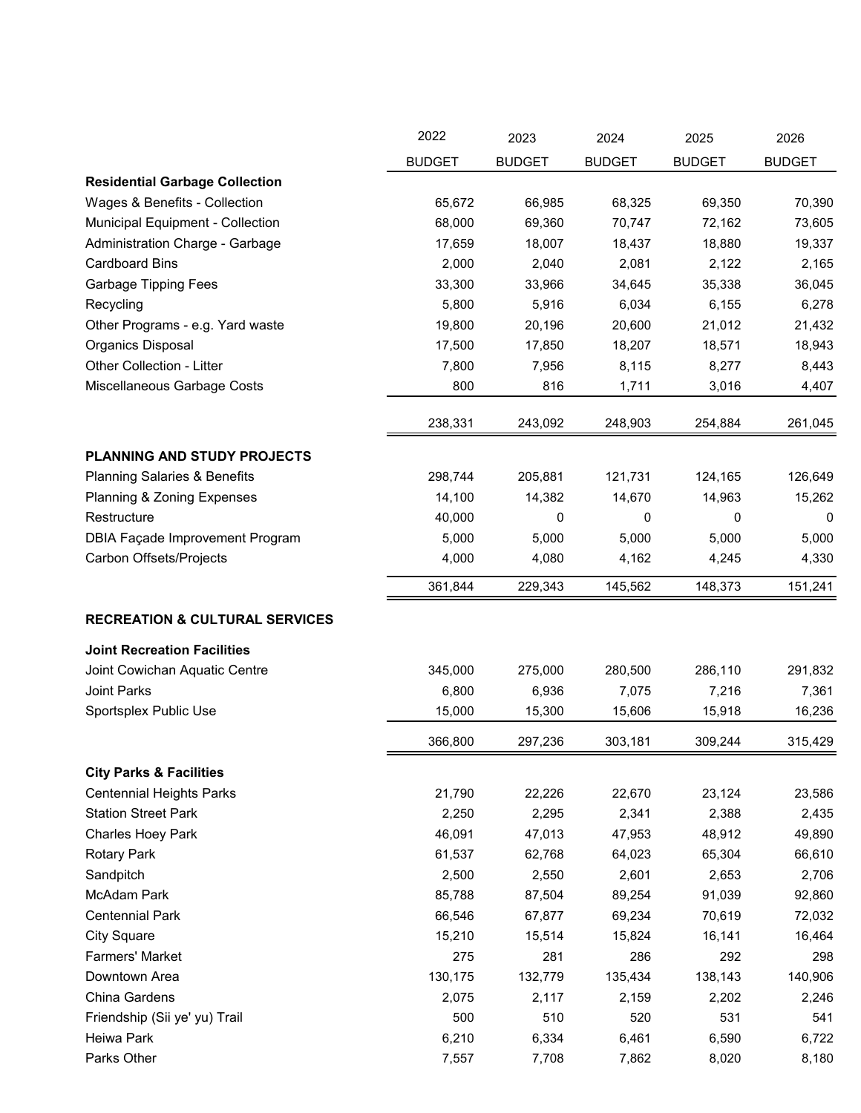|                                           | 2022          | 2023          | 2024          | 2025          | 2026          |
|-------------------------------------------|---------------|---------------|---------------|---------------|---------------|
|                                           | <b>BUDGET</b> | <b>BUDGET</b> | <b>BUDGET</b> | <b>BUDGET</b> | <b>BUDGET</b> |
| <b>Residential Garbage Collection</b>     |               |               |               |               |               |
| Wages & Benefits - Collection             | 65,672        | 66,985        | 68,325        | 69,350        | 70,390        |
| Municipal Equipment - Collection          | 68,000        | 69,360        | 70,747        | 72,162        | 73,605        |
| Administration Charge - Garbage           | 17,659        | 18,007        | 18,437        | 18,880        | 19,337        |
| <b>Cardboard Bins</b>                     | 2,000         | 2,040         | 2,081         | 2,122         | 2,165         |
| <b>Garbage Tipping Fees</b>               | 33,300        | 33,966        | 34,645        | 35,338        | 36,045        |
| Recycling                                 | 5,800         | 5,916         | 6,034         | 6,155         | 6,278         |
| Other Programs - e.g. Yard waste          | 19,800        | 20,196        | 20,600        | 21,012        | 21,432        |
| <b>Organics Disposal</b>                  | 17,500        | 17,850        | 18,207        | 18,571        | 18,943        |
| Other Collection - Litter                 | 7,800         | 7,956         | 8,115         | 8,277         | 8,443         |
| Miscellaneous Garbage Costs               | 800           | 816           | 1,711         | 3,016         | 4,407         |
|                                           | 238,331       | 243,092       | 248,903       | 254,884       | 261,045       |
| PLANNING AND STUDY PROJECTS               |               |               |               |               |               |
| <b>Planning Salaries &amp; Benefits</b>   | 298,744       | 205,881       | 121,731       | 124,165       | 126,649       |
| Planning & Zoning Expenses                | 14,100        | 14,382        | 14,670        | 14,963        | 15,262        |
| Restructure                               | 40,000        | 0             | 0             | 0             | 0             |
| <b>DBIA Façade Improvement Program</b>    | 5,000         | 5,000         | 5,000         | 5,000         | 5,000         |
| Carbon Offsets/Projects                   | 4,000         | 4,080         | 4,162         | 4,245         | 4,330         |
|                                           | 361,844       | 229,343       | 145,562       | 148,373       | 151,241       |
| <b>RECREATION &amp; CULTURAL SERVICES</b> |               |               |               |               |               |
| <b>Joint Recreation Facilities</b>        |               |               |               |               |               |
| Joint Cowichan Aquatic Centre             | 345,000       | 275,000       | 280,500       | 286,110       | 291,832       |
| Joint Parks                               | 6,800         | 6,936         | 7,075         | 7,216         | 7,361         |
| Sportsplex Public Use                     | 15,000        | 15,300        | 15,606        | 15,918        | 16,236        |
|                                           | 366,800       | 297,236       | 303,181       | 309,244       | 315,429       |
| <b>City Parks &amp; Facilities</b>        |               |               |               |               |               |
| <b>Centennial Heights Parks</b>           | 21,790        | 22,226        | 22,670        | 23,124        | 23,586        |
| <b>Station Street Park</b>                | 2,250         | 2,295         | 2,341         | 2,388         | 2,435         |
| Charles Hoey Park                         | 46,091        | 47,013        | 47,953        | 48,912        | 49,890        |
| <b>Rotary Park</b>                        | 61,537        | 62,768        | 64,023        | 65,304        | 66,610        |
| Sandpitch                                 | 2,500         | 2,550         | 2,601         | 2,653         | 2,706         |
| McAdam Park                               | 85,788        | 87,504        | 89,254        | 91,039        | 92,860        |
| <b>Centennial Park</b>                    | 66,546        | 67,877        | 69,234        | 70,619        | 72,032        |
| <b>City Square</b>                        | 15,210        | 15,514        | 15,824        | 16,141        | 16,464        |
| Farmers' Market                           | 275           | 281           | 286           | 292           | 298           |
| Downtown Area                             | 130,175       | 132,779       | 135,434       | 138,143       | 140,906       |
| China Gardens                             | 2,075         | 2,117         | 2,159         | 2,202         | 2,246         |
| Friendship (Sii ye' yu) Trail             | 500           | 510           | 520           | 531           | 541           |
| Heiwa Park                                | 6,210         | 6,334         | 6,461         | 6,590         | 6,722         |
| Parks Other                               | 7,557         | 7,708         | 7,862         | 8,020         | 8,180         |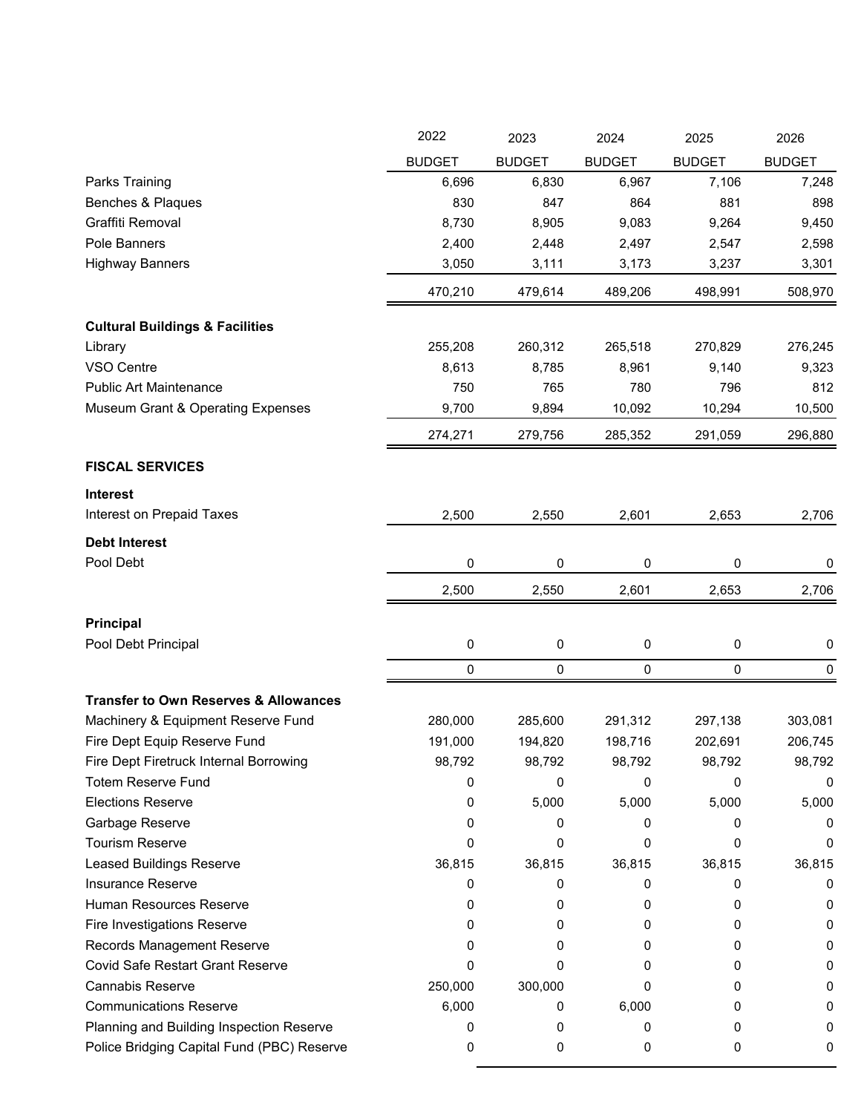|                                                  | 2022          | 2023          | 2024          | 2025          | 2026          |
|--------------------------------------------------|---------------|---------------|---------------|---------------|---------------|
|                                                  | <b>BUDGET</b> | <b>BUDGET</b> | <b>BUDGET</b> | <b>BUDGET</b> | <b>BUDGET</b> |
| Parks Training                                   | 6,696         | 6,830         | 6,967         | 7,106         | 7,248         |
| Benches & Plaques                                | 830           | 847           | 864           | 881           | 898           |
| Graffiti Removal                                 | 8,730         | 8,905         | 9,083         | 9,264         | 9,450         |
| Pole Banners                                     | 2,400         | 2,448         | 2,497         | 2,547         | 2,598         |
| <b>Highway Banners</b>                           | 3,050         | 3,111         | 3,173         | 3,237         | 3,301         |
|                                                  | 470,210       | 479,614       | 489,206       | 498,991       | 508,970       |
| <b>Cultural Buildings &amp; Facilities</b>       |               |               |               |               |               |
| Library                                          | 255,208       | 260,312       | 265,518       | 270,829       | 276,245       |
| VSO Centre                                       | 8,613         | 8,785         | 8,961         | 9,140         | 9,323         |
| <b>Public Art Maintenance</b>                    | 750           | 765           | 780           | 796           | 812           |
| <b>Museum Grant &amp; Operating Expenses</b>     | 9,700         | 9,894         | 10,092        | 10,294        | 10,500        |
|                                                  | 274,271       | 279,756       | 285,352       | 291,059       | 296,880       |
| <b>FISCAL SERVICES</b>                           |               |               |               |               |               |
| <b>Interest</b>                                  |               |               |               |               |               |
| Interest on Prepaid Taxes                        | 2,500         | 2,550         | 2,601         | 2,653         | 2,706         |
| <b>Debt Interest</b>                             |               |               |               |               |               |
| Pool Debt                                        | 0             | 0             | 0             | 0             | 0             |
|                                                  | 2,500         | 2,550         | 2,601         | 2,653         | 2,706         |
| Principal                                        |               |               |               |               |               |
| Pool Debt Principal                              | $\pmb{0}$     | 0             | 0             | 0             | $\pmb{0}$     |
|                                                  | 0             | 0             | 0             | 0             | 0             |
| <b>Transfer to Own Reserves &amp; Allowances</b> |               |               |               |               |               |
| Machinery & Equipment Reserve Fund               | 280,000       | 285,600       | 291,312       | 297,138       | 303,081       |
| Fire Dept Equip Reserve Fund                     | 191,000       | 194,820       | 198,716       | 202,691       | 206,745       |
| Fire Dept Firetruck Internal Borrowing           | 98,792        | 98,792        | 98,792        | 98,792        | 98,792        |
| <b>Totem Reserve Fund</b>                        | 0             | 0             | 0             | 0             | 0             |
| <b>Elections Reserve</b>                         | 0             | 5,000         | 5,000         | 5,000         | 5,000         |
| Garbage Reserve                                  | 0             | 0             | 0             | 0             | O             |
| <b>Tourism Reserve</b>                           | 0             | 0             | 0             | 0             | 0             |
| Leased Buildings Reserve                         | 36,815        | 36,815        | 36,815        | 36,815        | 36,815        |
| <b>Insurance Reserve</b>                         | 0             | 0             | 0             | 0             | 0             |
| Human Resources Reserve                          | 0             | 0             | 0             | 0             | 0             |
| Fire Investigations Reserve                      | 0             | 0             | 0             | 0             | 0             |
| Records Management Reserve                       | 0             | 0             | 0             | 0             | 0             |
| <b>Covid Safe Restart Grant Reserve</b>          | 0             | 0             | 0             | 0             | 0             |
| <b>Cannabis Reserve</b>                          | 250,000       | 300,000       | 0             | 0             | 0             |
| <b>Communications Reserve</b>                    | 6,000         | 0             | 6,000         | 0             | 0             |
| Planning and Building Inspection Reserve         | 0             | 0             | 0             | 0             | 0             |
| Police Bridging Capital Fund (PBC) Reserve       | 0             | 0             | 0             | 0             | 0             |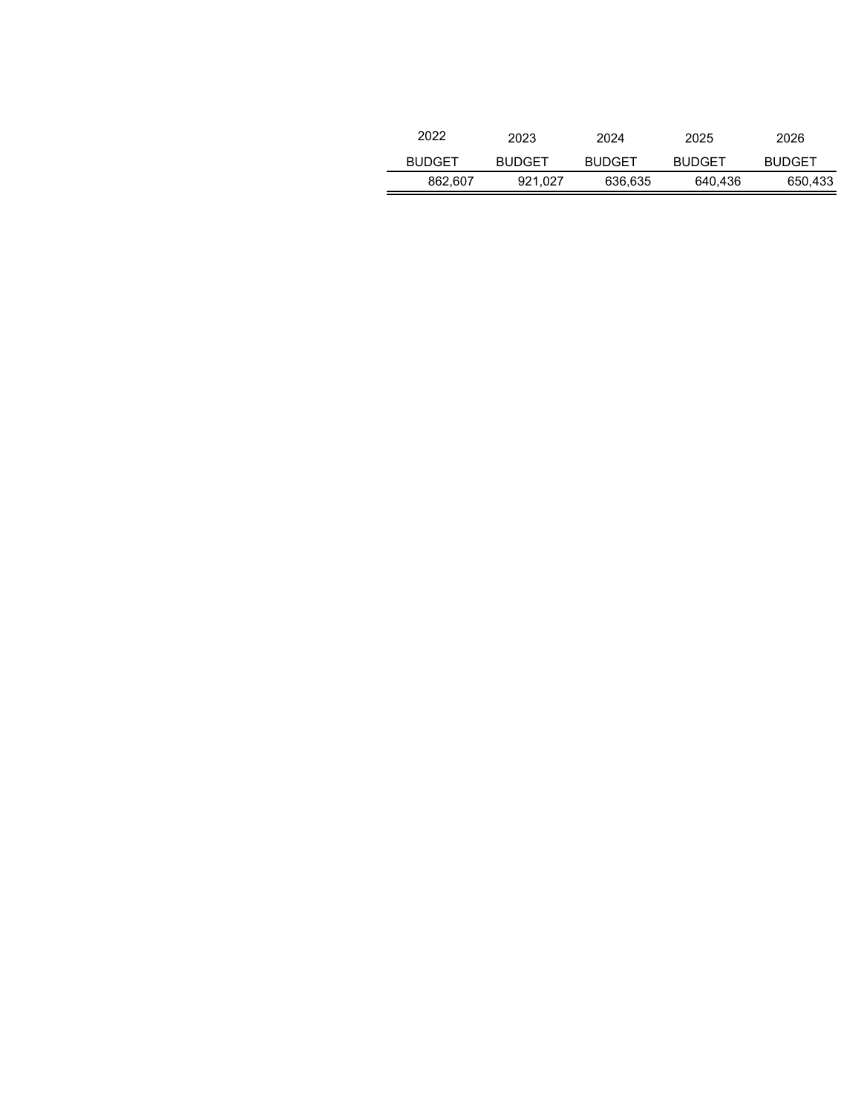| 2022          | 2023          | 2024          | 2025          | 2026          |
|---------------|---------------|---------------|---------------|---------------|
| <b>BUDGET</b> | <b>BUDGET</b> | <b>BUDGET</b> | <b>BUDGET</b> | <b>BUDGET</b> |
| 862.607       | 921.027       | 636,635       | 640,436       | 650,433       |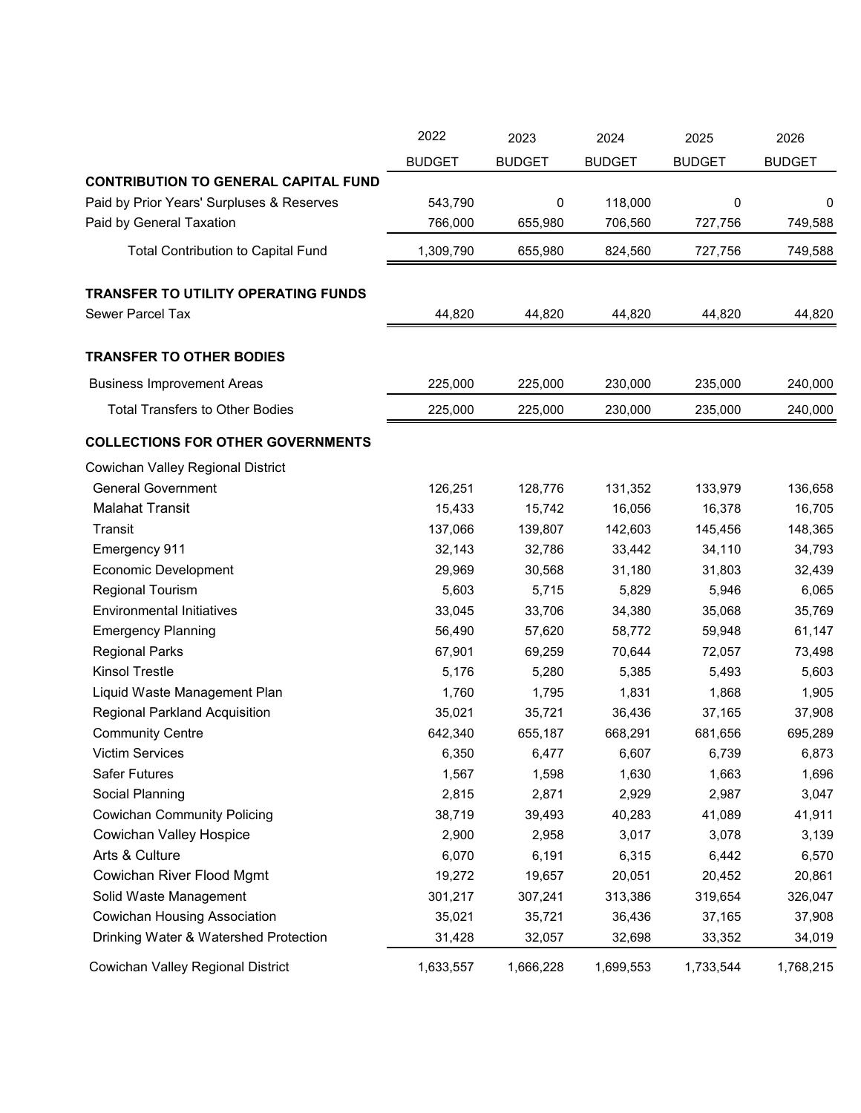|                                             | 2022          | 2023          | 2024          | 2025          | 2026          |
|---------------------------------------------|---------------|---------------|---------------|---------------|---------------|
|                                             | <b>BUDGET</b> | <b>BUDGET</b> | <b>BUDGET</b> | <b>BUDGET</b> | <b>BUDGET</b> |
| <b>CONTRIBUTION TO GENERAL CAPITAL FUND</b> |               |               |               |               |               |
| Paid by Prior Years' Surpluses & Reserves   | 543,790       | 0             | 118,000       | 0             | 0             |
| Paid by General Taxation                    | 766,000       | 655,980       | 706,560       | 727,756       | 749,588       |
| <b>Total Contribution to Capital Fund</b>   | 1,309,790     | 655,980       | 824,560       | 727,756       | 749,588       |
| TRANSFER TO UTILITY OPERATING FUNDS         |               |               |               |               |               |
| Sewer Parcel Tax                            | 44,820        | 44,820        | 44,820        | 44,820        | 44,820        |
| <b>TRANSFER TO OTHER BODIES</b>             |               |               |               |               |               |
| <b>Business Improvement Areas</b>           | 225,000       | 225,000       | 230,000       | 235,000       | 240,000       |
| <b>Total Transfers to Other Bodies</b>      | 225,000       | 225,000       | 230,000       | 235,000       | 240,000       |
| <b>COLLECTIONS FOR OTHER GOVERNMENTS</b>    |               |               |               |               |               |
| Cowichan Valley Regional District           |               |               |               |               |               |
| <b>General Government</b>                   | 126,251       | 128,776       | 131,352       | 133,979       | 136,658       |
| <b>Malahat Transit</b>                      | 15,433        | 15,742        | 16,056        | 16,378        | 16,705        |
| Transit                                     | 137,066       | 139,807       | 142,603       | 145,456       | 148,365       |
| Emergency 911                               | 32,143        | 32,786        | 33,442        | 34,110        | 34,793        |
| <b>Economic Development</b>                 | 29,969        | 30,568        | 31,180        | 31,803        | 32,439        |
| Regional Tourism                            | 5,603         | 5,715         | 5,829         | 5,946         | 6,065         |
| <b>Environmental Initiatives</b>            | 33,045        | 33,706        | 34,380        | 35,068        | 35,769        |
| <b>Emergency Planning</b>                   | 56,490        | 57,620        | 58,772        | 59,948        | 61,147        |
| <b>Regional Parks</b>                       | 67,901        | 69,259        | 70,644        | 72,057        | 73,498        |
| <b>Kinsol Trestle</b>                       | 5,176         | 5,280         | 5,385         | 5,493         | 5,603         |
| Liquid Waste Management Plan                | 1,760         | 1,795         | 1,831         | 1,868         | 1,905         |
| Regional Parkland Acquisition               | 35,021        | 35,721        | 36,436        | 37,165        | 37,908        |
| <b>Community Centre</b>                     | 642,340       | 655,187       | 668,291       | 681,656       | 695,289       |
| <b>Victim Services</b>                      | 6,350         | 6.477         | 6,607         | 6,739         | 6,873         |
| <b>Safer Futures</b>                        | 1,567         | 1,598         | 1,630         | 1,663         | 1,696         |
| Social Planning                             | 2,815         | 2,871         | 2,929         | 2,987         | 3,047         |
| <b>Cowichan Community Policing</b>          | 38,719        | 39,493        | 40,283        | 41,089        | 41,911        |
| <b>Cowichan Valley Hospice</b>              | 2,900         | 2,958         | 3,017         | 3,078         | 3,139         |
| Arts & Culture                              | 6,070         | 6,191         | 6,315         | 6,442         | 6,570         |
| Cowichan River Flood Mgmt                   | 19,272        | 19,657        | 20,051        | 20,452        | 20,861        |
| Solid Waste Management                      | 301,217       | 307,241       | 313,386       | 319,654       | 326,047       |
| <b>Cowichan Housing Association</b>         | 35,021        | 35,721        | 36,436        | 37,165        | 37,908        |
| Drinking Water & Watershed Protection       | 31,428        | 32,057        | 32,698        | 33,352        | 34,019        |
| Cowichan Valley Regional District           | 1,633,557     | 1,666,228     | 1,699,553     | 1,733,544     | 1,768,215     |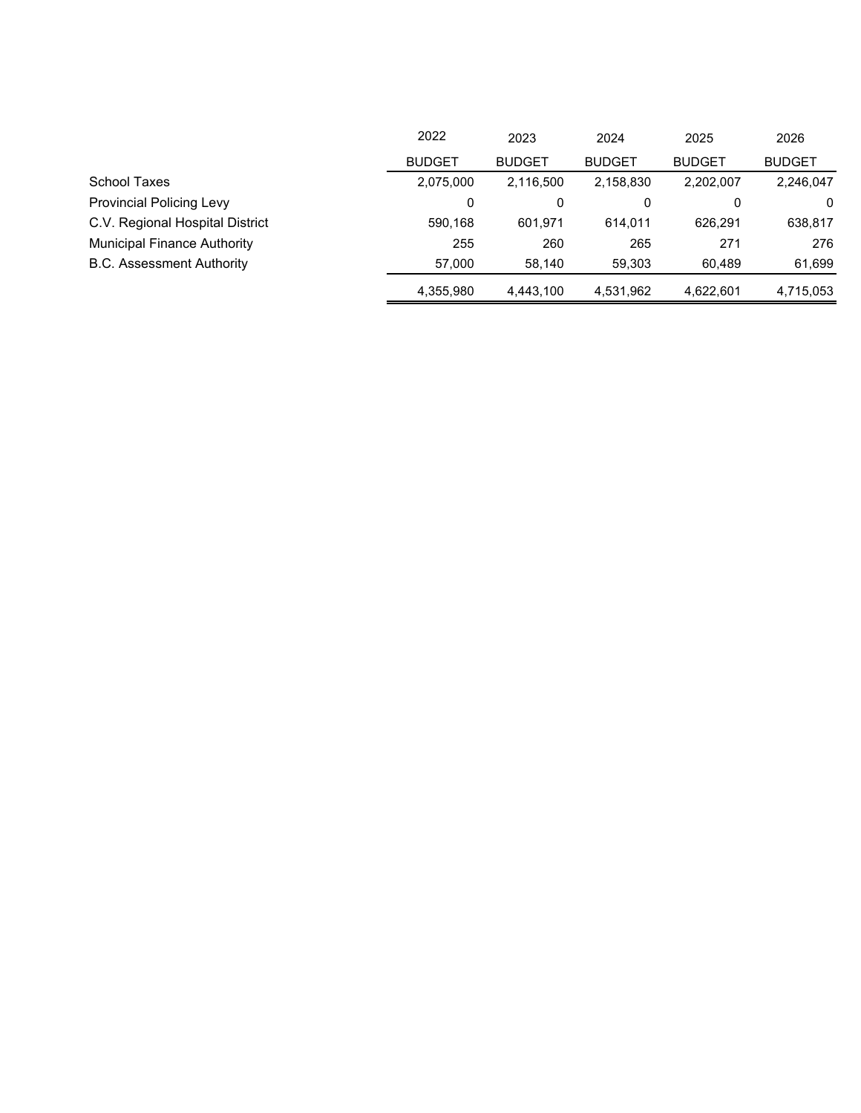|                                    | 2022          | 2023          | 2024          | 2025          | 2026          |
|------------------------------------|---------------|---------------|---------------|---------------|---------------|
|                                    | <b>BUDGET</b> | <b>BUDGET</b> | <b>BUDGET</b> | <b>BUDGET</b> | <b>BUDGET</b> |
| <b>School Taxes</b>                | 2,075,000     | 2,116,500     | 2,158,830     | 2,202,007     | 2,246,047     |
| <b>Provincial Policing Levy</b>    | 0             | 0             | 0             |               | $\Omega$      |
| C.V. Regional Hospital District    | 590.168       | 601.971       | 614.011       | 626.291       | 638,817       |
| <b>Municipal Finance Authority</b> | 255           | 260           | 265           | 271           | 276           |
| <b>B.C. Assessment Authority</b>   | 57.000        | 58,140        | 59.303        | 60.489        | 61,699        |
|                                    | 4.355.980     | 4.443.100     | 4,531,962     | 4,622,601     | 4.715.053     |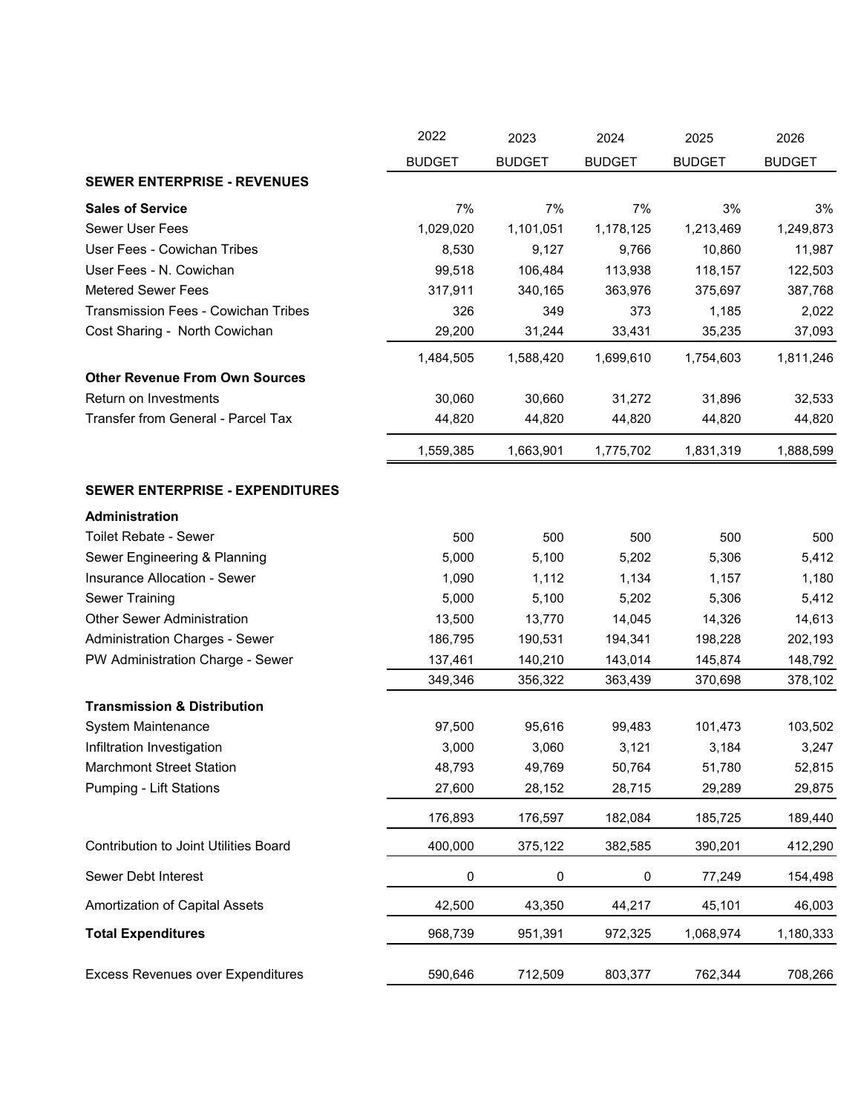|                                            | 2022          | 2023          | 2024          | 2025          | 2026          |
|--------------------------------------------|---------------|---------------|---------------|---------------|---------------|
|                                            | <b>BUDGET</b> | <b>BUDGET</b> | <b>BUDGET</b> | <b>BUDGET</b> | <b>BUDGET</b> |
| <b>SEWER ENTERPRISE - REVENUES</b>         |               |               |               |               |               |
| <b>Sales of Service</b>                    | 7%            | 7%            | 7%            | 3%            | 3%            |
| <b>Sewer User Fees</b>                     | 1,029,020     | 1,101,051     | 1,178,125     | 1,213,469     | 1,249,873     |
| User Fees - Cowichan Tribes                | 8,530         | 9,127         | 9,766         | 10,860        | 11,987        |
| User Fees - N. Cowichan                    | 99,518        | 106,484       | 113,938       | 118,157       | 122,503       |
| <b>Metered Sewer Fees</b>                  | 317,911       | 340,165       | 363,976       | 375,697       | 387,768       |
| <b>Transmission Fees - Cowichan Tribes</b> | 326           | 349           | 373           | 1,185         | 2,022         |
| Cost Sharing - North Cowichan              | 29,200        | 31,244        | 33,431        | 35,235        | 37,093        |
|                                            | 1,484,505     | 1,588,420     | 1,699,610     | 1,754,603     | 1,811,246     |
| <b>Other Revenue From Own Sources</b>      |               |               |               |               |               |
| Return on Investments                      | 30,060        | 30,660        | 31,272        | 31,896        | 32,533        |
| Transfer from General - Parcel Tax         | 44,820        | 44,820        | 44,820        | 44,820        | 44,820        |
|                                            | 1,559,385     | 1,663,901     | 1,775,702     | 1,831,319     | 1,888,599     |
| SEWER ENTERPRISE - EXPENDITURES            |               |               |               |               |               |
| Administration                             |               |               |               |               |               |
| <b>Toilet Rebate - Sewer</b>               | 500           | 500           | 500           | 500           | 500           |
| Sewer Engineering & Planning               | 5,000         | 5,100         | 5,202         | 5,306         | 5,412         |
| Insurance Allocation - Sewer               | 1,090         | 1,112         | 1,134         | 1,157         | 1,180         |
| <b>Sewer Training</b>                      | 5,000         | 5,100         | 5,202         | 5,306         | 5,412         |
| <b>Other Sewer Administration</b>          | 13,500        | 13,770        | 14,045        | 14,326        | 14,613        |
| <b>Administration Charges - Sewer</b>      | 186,795       | 190,531       | 194,341       | 198,228       | 202,193       |
| PW Administration Charge - Sewer           | 137,461       | 140,210       | 143,014       | 145,874       | 148,792       |
|                                            | 349,346       | 356,322       | 363,439       | 370,698       | 378,102       |
| <b>Transmission &amp; Distribution</b>     |               |               |               |               |               |
| System Maintenance                         | 97,500        | 95,616        | 99,483        | 101,473       | 103,502       |
| Infiltration Investigation                 | 3,000         | 3,060         | 3,121         | 3,184         | 3,247         |
| <b>Marchmont Street Station</b>            | 48,793        | 49,769        | 50,764        | 51,780        | 52,815        |
| <b>Pumping - Lift Stations</b>             | 27,600        | 28,152        | 28,715        | 29,289        | 29,875        |
|                                            | 176,893       | 176,597       | 182,084       | 185,725       | 189,440       |
| Contribution to Joint Utilities Board      | 400,000       | 375,122       | 382,585       | 390,201       | 412,290       |
| Sewer Debt Interest                        | 0             | $\pmb{0}$     | $\pmb{0}$     | 77,249        | 154,498       |
| Amortization of Capital Assets             | 42,500        | 43,350        | 44,217        | 45,101        | 46,003        |
| <b>Total Expenditures</b>                  | 968,739       | 951,391       | 972,325       | 1,068,974     | 1,180,333     |
| <b>Excess Revenues over Expenditures</b>   | 590,646       | 712,509       | 803,377       | 762,344       | 708,266       |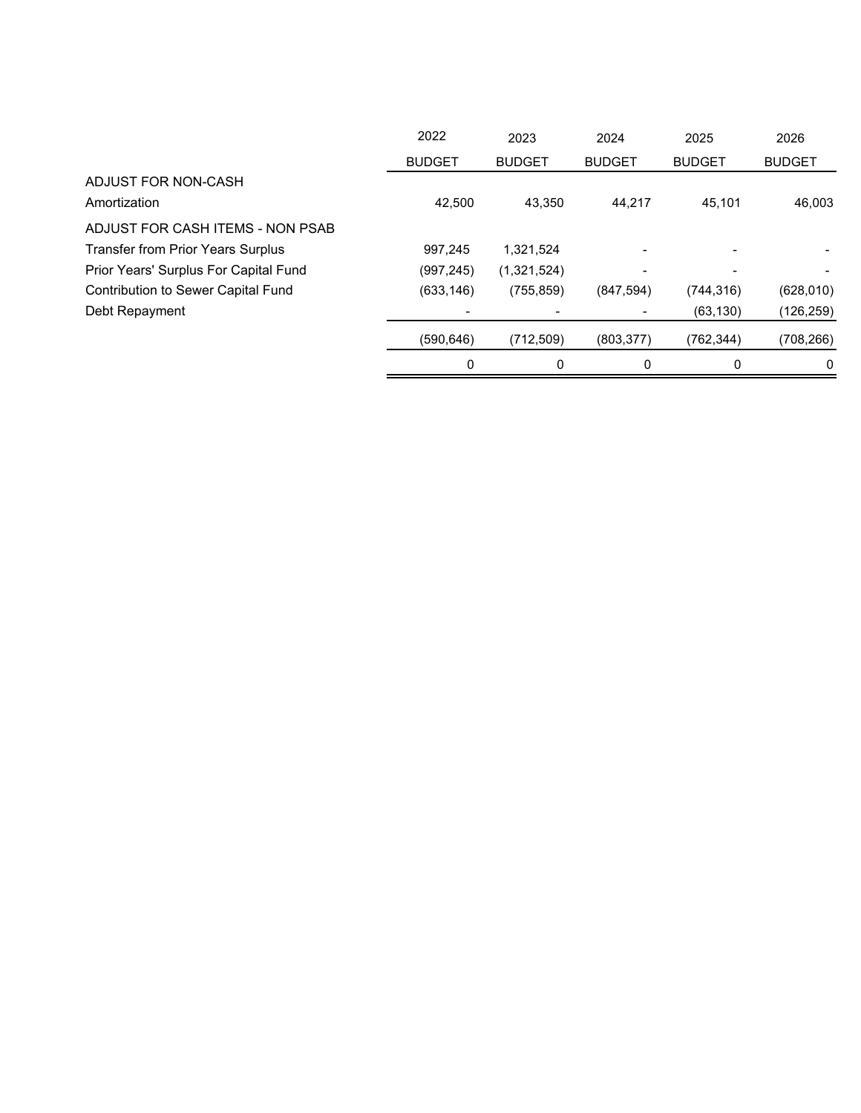|                                           | 2022          | 2023          | 2024          | 2025          | 2026          |
|-------------------------------------------|---------------|---------------|---------------|---------------|---------------|
|                                           | <b>BUDGET</b> | <b>BUDGET</b> | <b>BUDGET</b> | <b>BUDGET</b> | <b>BUDGET</b> |
| ADJUST FOR NON-CASH                       |               |               |               |               |               |
| Amortization                              | 42.500        | 43.350        | 44.217        | 45.101        | 46,003        |
| ADJUST FOR CASH ITEMS - NON PSAB          |               |               |               |               |               |
| <b>Transfer from Prior Years Surplus</b>  | 997.245       | 1,321,524     |               |               |               |
| Prior Years' Surplus For Capital Fund     | (997, 245)    | (1,321,524)   |               |               |               |
| <b>Contribution to Sewer Capital Fund</b> | (633, 146)    | (755, 859)    | (847, 594)    | (744, 316)    | (628,010)     |
| Debt Repayment                            |               |               |               | (63, 130)     | (126, 259)    |
|                                           | (590,646)     | (712, 509)    | (803, 377)    | (762,344)     | (708, 266)    |
|                                           | 0             | 0             | 0             | 0             | 0             |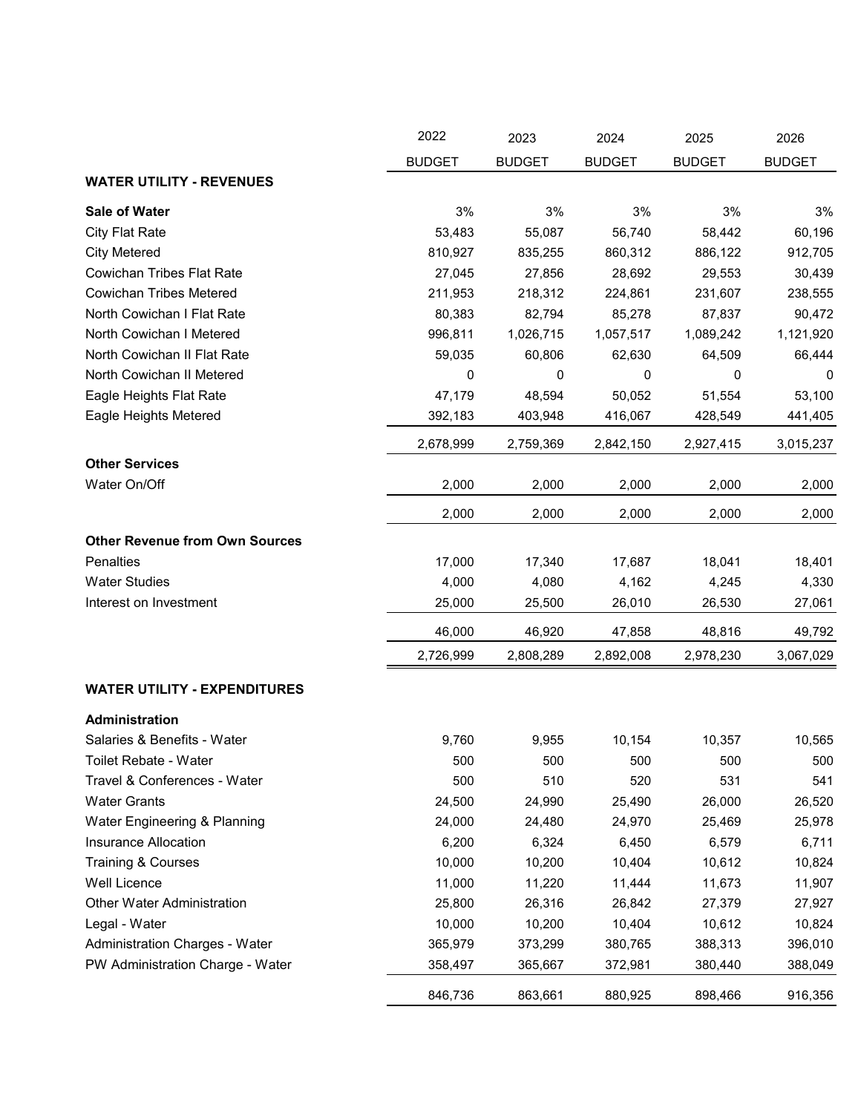|                                       | 2022          | 2023          | 2024          | 2025          | 2026          |
|---------------------------------------|---------------|---------------|---------------|---------------|---------------|
|                                       | <b>BUDGET</b> | <b>BUDGET</b> | <b>BUDGET</b> | <b>BUDGET</b> | <b>BUDGET</b> |
| <b>WATER UTILITY - REVENUES</b>       |               |               |               |               |               |
| <b>Sale of Water</b>                  | 3%            | 3%            | 3%            | 3%            | 3%            |
| City Flat Rate                        | 53,483        | 55,087        | 56,740        | 58,442        | 60,196        |
| <b>City Metered</b>                   | 810,927       | 835,255       | 860,312       | 886,122       | 912,705       |
| <b>Cowichan Tribes Flat Rate</b>      | 27,045        | 27,856        | 28,692        | 29,553        | 30,439        |
| <b>Cowichan Tribes Metered</b>        | 211,953       | 218,312       | 224,861       | 231,607       | 238,555       |
| North Cowichan I Flat Rate            | 80,383        | 82,794        | 85,278        | 87,837        | 90,472        |
| North Cowichan I Metered              | 996,811       | 1,026,715     | 1,057,517     | 1,089,242     | 1,121,920     |
| North Cowichan II Flat Rate           | 59,035        | 60,806        | 62,630        | 64,509        | 66,444        |
| North Cowichan II Metered             | 0             | 0             | 0             | 0             | 0             |
| Eagle Heights Flat Rate               | 47,179        | 48,594        | 50,052        | 51,554        | 53,100        |
| Eagle Heights Metered                 | 392,183       | 403,948       | 416,067       | 428,549       | 441,405       |
|                                       | 2,678,999     | 2,759,369     | 2,842,150     | 2,927,415     | 3,015,237     |
| <b>Other Services</b>                 |               |               |               |               |               |
| Water On/Off                          | 2,000         | 2,000         | 2,000         | 2,000         | 2,000         |
|                                       | 2,000         | 2,000         | 2,000         | 2,000         | 2,000         |
| <b>Other Revenue from Own Sources</b> |               |               |               |               |               |
| Penalties                             | 17,000        | 17,340        | 17,687        | 18,041        | 18,401        |
| <b>Water Studies</b>                  | 4,000         | 4,080         | 4,162         | 4,245         | 4,330         |
| Interest on Investment                | 25,000        | 25,500        | 26,010        | 26,530        | 27,061        |
|                                       | 46,000        | 46,920        | 47,858        | 48,816        | 49,792        |
|                                       | 2,726,999     | 2,808,289     | 2,892,008     | 2,978,230     | 3,067,029     |
| <b>WATER UTILITY - EXPENDITURES</b>   |               |               |               |               |               |
| Administration                        |               |               |               |               |               |
| Salaries & Benefits - Water           | 9,760         | 9,955         | 10,154        | 10,357        | 10,565        |
| Toilet Rebate - Water                 | 500           | 500           | 500           | 500           | 500           |
| Travel & Conferences - Water          | 500           | 510           | 520           | 531           | 541           |
| <b>Water Grants</b>                   | 24,500        | 24,990        | 25,490        | 26,000        | 26,520        |
| Water Engineering & Planning          | 24,000        | 24,480        | 24,970        | 25,469        | 25,978        |
| Insurance Allocation                  | 6,200         | 6,324         | 6,450         | 6,579         | 6,711         |
| <b>Training &amp; Courses</b>         | 10,000        | 10,200        | 10,404        | 10,612        | 10,824        |
| Well Licence                          | 11,000        | 11,220        | 11,444        | 11,673        | 11,907        |
| <b>Other Water Administration</b>     | 25,800        | 26,316        | 26,842        | 27,379        | 27,927        |
| Legal - Water                         | 10,000        | 10,200        | 10,404        | 10,612        | 10,824        |
| Administration Charges - Water        | 365,979       | 373,299       | 380,765       | 388,313       | 396,010       |
| PW Administration Charge - Water      | 358,497       | 365,667       | 372,981       | 380,440       | 388,049       |
|                                       | 846,736       | 863,661       | 880,925       | 898,466       | 916,356       |